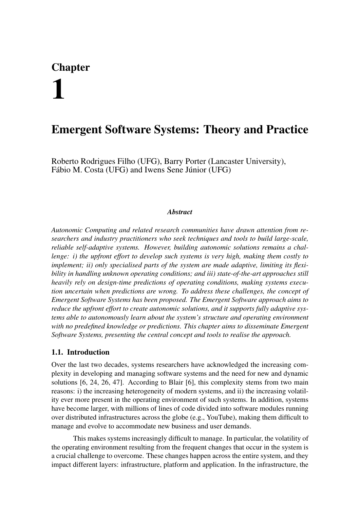# Chapter 1

# Emergent Software Systems: Theory and Practice

Roberto Rodrigues Filho (UFG), Barry Porter (Lancaster University), Fábio M. Costa (UFG) and Iwens Sene Júnior (UFG)

#### *Abstract*

*Autonomic Computing and related research communities have drawn attention from researchers and industry practitioners who seek techniques and tools to build large-scale, reliable self-adaptive systems. However, building autonomic solutions remains a challenge: i) the upfront effort to develop such systems is very high, making them costly to implement; ii) only specialised parts of the system are made adaptive, limiting its flexibility in handling unknown operating conditions; and iii) state-of-the-art approaches still heavily rely on design-time predictions of operating conditions, making systems execution uncertain when predictions are wrong. To address these challenges, the concept of Emergent Software Systems has been proposed. The Emergent Software approach aims to reduce the upfront effort to create autonomic solutions, and it supports fully adaptive systems able to autonomously learn about the system's structure and operating environment with no predefined knowledge or predictions. This chapter aims to disseminate Emergent Software Systems, presenting the central concept and tools to realise the approach.*

# 1.1. Introduction

Over the last two decades, systems researchers have acknowledged the increasing complexity in developing and managing software systems and the need for new and dynamic solutions [6, 24, 26, 47]. According to Blair [6], this complexity stems from two main reasons: i) the increasing heterogeneity of modern systems, and ii) the increasing volatility ever more present in the operating environment of such systems. In addition, systems have become larger, with millions of lines of code divided into software modules running over distributed infrastructures across the globe (e.g., YouTube), making them difficult to manage and evolve to accommodate new business and user demands.

This makes systems increasingly difficult to manage. In particular, the volatility of the operating environment resulting from the frequent changes that occur in the system is a crucial challenge to overcome. These changes happen across the entire system, and they impact different layers: infrastructure, platform and application. In the infrastructure, the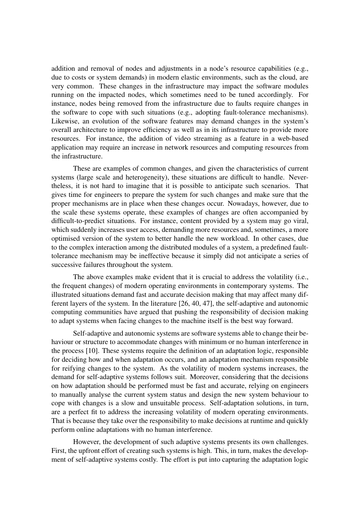addition and removal of nodes and adjustments in a node's resource capabilities (e.g., due to costs or system demands) in modern elastic environments, such as the cloud, are very common. These changes in the infrastructure may impact the software modules running on the impacted nodes, which sometimes need to be tuned accordingly. For instance, nodes being removed from the infrastructure due to faults require changes in the software to cope with such situations (e.g., adopting fault-tolerance mechanisms). Likewise, an evolution of the software features may demand changes in the system's overall architecture to improve efficiency as well as in its infrastructure to provide more resources. For instance, the addition of video streaming as a feature in a web-based application may require an increase in network resources and computing resources from the infrastructure.

These are examples of common changes, and given the characteristics of current systems (large scale and heterogeneity), these situations are difficult to handle. Nevertheless, it is not hard to imagine that it is possible to anticipate such scenarios. That gives time for engineers to prepare the system for such changes and make sure that the proper mechanisms are in place when these changes occur. Nowadays, however, due to the scale these systems operate, these examples of changes are often accompanied by difficult-to-predict situations. For instance, content provided by a system may go viral, which suddenly increases user access, demanding more resources and, sometimes, a more optimised version of the system to better handle the new workload. In other cases, due to the complex interaction among the distributed modules of a system, a predefined faulttolerance mechanism may be ineffective because it simply did not anticipate a series of successive failures throughout the system.

The above examples make evident that it is crucial to address the volatility (i.e., the frequent changes) of modern operating environments in contemporary systems. The illustrated situations demand fast and accurate decision making that may affect many different layers of the system. In the literature [26, 40, 47], the self-adaptive and autonomic computing communities have argued that pushing the responsibility of decision making to adapt systems when facing changes to the machine itself is the best way forward.

Self-adaptive and autonomic systems are software systems able to change their behaviour or structure to accommodate changes with minimum or no human interference in the process [10]. These systems require the definition of an adaptation logic, responsible for deciding how and when adaptation occurs, and an adaptation mechanism responsible for reifying changes to the system. As the volatility of modern systems increases, the demand for self-adaptive systems follows suit. Moreover, considering that the decisions on how adaptation should be performed must be fast and accurate, relying on engineers to manually analyse the current system status and design the new system behaviour to cope with changes is a slow and unsuitable process. Self-adaptation solutions, in turn, are a perfect fit to address the increasing volatility of modern operating environments. That is because they take over the responsibility to make decisions at runtime and quickly perform online adaptations with no human interference.

However, the development of such adaptive systems presents its own challenges. First, the upfront effort of creating such systems is high. This, in turn, makes the development of self-adaptive systems costly. The effort is put into capturing the adaptation logic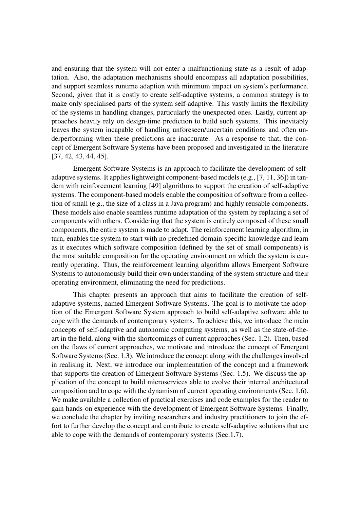and ensuring that the system will not enter a malfunctioning state as a result of adaptation. Also, the adaptation mechanisms should encompass all adaptation possibilities, and support seamless runtime adaption with minimum impact on system's performance. Second, given that it is costly to create self-adaptive systems, a common strategy is to make only specialised parts of the system self-adaptive. This vastly limits the flexibility of the systems in handling changes, particularly the unexpected ones. Lastly, current approaches heavily rely on design-time prediction to build such systems. This inevitably leaves the system incapable of handling unforeseen/uncertain conditions and often underperforming when these predictions are inaccurate. As a response to that, the concept of Emergent Software Systems have been proposed and investigated in the literature [37, 42, 43, 44, 45].

Emergent Software Systems is an approach to facilitate the development of selfadaptive systems. It applies lightweight component-based models (e.g., [7, 11, 36]) in tandem with reinforcement learning [49] algorithms to support the creation of self-adaptive systems. The component-based models enable the composition of software from a collection of small (e.g., the size of a class in a Java program) and highly reusable components. These models also enable seamless runtime adaptation of the system by replacing a set of components with others. Considering that the system is entirely composed of these small components, the entire system is made to adapt. The reinforcement learning algorithm, in turn, enables the system to start with no predefined domain-specific knowledge and learn as it executes which software composition (defined by the set of small components) is the most suitable composition for the operating environment on which the system is currently operating. Thus, the reinforcement learning algorithm allows Emergent Software Systems to autonomously build their own understanding of the system structure and their operating environment, eliminating the need for predictions.

This chapter presents an approach that aims to facilitate the creation of selfadaptive systems, named Emergent Software Systems. The goal is to motivate the adoption of the Emergent Software System approach to build self-adaptive software able to cope with the demands of contemporary systems. To achieve this, we introduce the main concepts of self-adaptive and autonomic computing systems, as well as the state-of-theart in the field, along with the shortcomings of current approaches (Sec. 1.2). Then, based on the flaws of current approaches, we motivate and introduce the concept of Emergent Software Systems (Sec. 1.3). We introduce the concept along with the challenges involved in realising it. Next, we introduce our implementation of the concept and a framework that supports the creation of Emergent Software Systems (Sec. 1.5). We discuss the application of the concept to build microservices able to evolve their internal architectural composition and to cope with the dynamism of current operating environments (Sec. 1.6). We make available a collection of practical exercises and code examples for the reader to gain hands-on experience with the development of Emergent Software Systems. Finally, we conclude the chapter by inviting researchers and industry practitioners to join the effort to further develop the concept and contribute to create self-adaptive solutions that are able to cope with the demands of contemporary systems (Sec.1.7).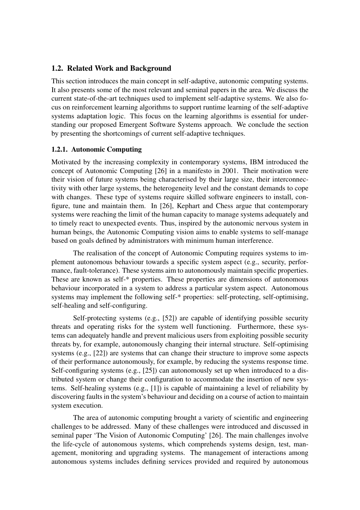# 1.2. Related Work and Background

This section introduces the main concept in self-adaptive, autonomic computing systems. It also presents some of the most relevant and seminal papers in the area. We discuss the current state-of-the-art techniques used to implement self-adaptive systems. We also focus on reinforcement learning algorithms to support runtime learning of the self-adaptive systems adaptation logic. This focus on the learning algorithms is essential for understanding our proposed Emergent Software Systems approach. We conclude the section by presenting the shortcomings of current self-adaptive techniques.

#### 1.2.1. Autonomic Computing

Motivated by the increasing complexity in contemporary systems, IBM introduced the concept of Autonomic Computing [26] in a manifesto in 2001. Their motivation were their vision of future systems being characterised by their large size, their interconnectivity with other large systems, the heterogeneity level and the constant demands to cope with changes. These type of systems require skilled software engineers to install, configure, tune and maintain them. In [26], Kephart and Chess argue that contemporary systems were reaching the limit of the human capacity to manage systems adequately and to timely react to unexpected events. Thus, inspired by the autonomic nervous system in human beings, the Autonomic Computing vision aims to enable systems to self-manage based on goals defined by administrators with minimum human interference.

The realisation of the concept of Autonomic Computing requires systems to implement autonomous behaviour towards a specific system aspect (e.g., security, performance, fault-tolerance). These systems aim to autonomously maintain specific properties. These are known as self-\* properties. These properties are dimensions of autonomous behaviour incorporated in a system to address a particular system aspect. Autonomous systems may implement the following self-\* properties: self-protecting, self-optimising, self-healing and self-configuring.

Self-protecting systems (e.g., [52]) are capable of identifying possible security threats and operating risks for the system well functioning. Furthermore, these systems can adequately handle and prevent malicious users from exploiting possible security threats by, for example, autonomously changing their internal structure. Self-optimising systems (e.g., [22]) are systems that can change their structure to improve some aspects of their performance autonomously, for example, by reducing the systems response time. Self-configuring systems (e.g., [25]) can autonomously set up when introduced to a distributed system or change their configuration to accommodate the insertion of new systems. Self-healing systems (e.g., [1]) is capable of maintaining a level of reliability by discovering faults in the system's behaviour and deciding on a course of action to maintain system execution.

The area of autonomic computing brought a variety of scientific and engineering challenges to be addressed. Many of these challenges were introduced and discussed in seminal paper 'The Vision of Autonomic Computing' [26]. The main challenges involve the life-cycle of autonomous systems, which comprehends systems design, test, management, monitoring and upgrading systems. The management of interactions among autonomous systems includes defining services provided and required by autonomous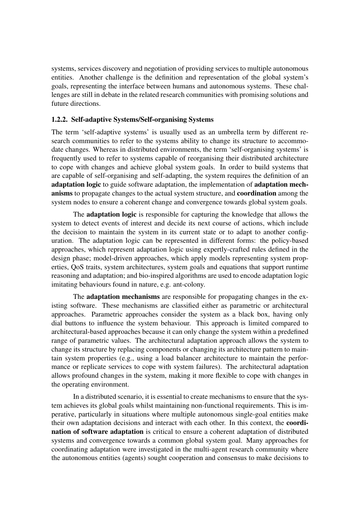systems, services discovery and negotiation of providing services to multiple autonomous entities. Another challenge is the definition and representation of the global system's goals, representing the interface between humans and autonomous systems. These challenges are still in debate in the related research communities with promising solutions and future directions.

#### 1.2.2. Self-adaptive Systems/Self-organising Systems

The term 'self-adaptive systems' is usually used as an umbrella term by different research communities to refer to the systems ability to change its structure to accommodate changes. Whereas in distributed environments, the term 'self-organising systems' is frequently used to refer to systems capable of reorganising their distributed architecture to cope with changes and achieve global system goals. In order to build systems that are capable of self-organising and self-adapting, the system requires the definition of an adaptation logic to guide software adaptation, the implementation of adaptation mechanisms to propagate changes to the actual system structure, and **coordination** among the system nodes to ensure a coherent change and convergence towards global system goals.

The adaptation logic is responsible for capturing the knowledge that allows the system to detect events of interest and decide its next course of actions, which include the decision to maintain the system in its current state or to adapt to another configuration. The adaptation logic can be represented in different forms: the policy-based approaches, which represent adaptation logic using expertly-crafted rules defined in the design phase; model-driven approaches, which apply models representing system properties, QoS traits, system architectures, system goals and equations that support runtime reasoning and adaptation; and bio-inspired algorithms are used to encode adaptation logic imitating behaviours found in nature, e.g. ant-colony.

The adaptation mechanisms are responsible for propagating changes in the existing software. These mechanisms are classified either as parametric or architectural approaches. Parametric approaches consider the system as a black box, having only dial buttons to influence the system behaviour. This approach is limited compared to architectural-based approaches because it can only change the system within a predefined range of parametric values. The architectural adaptation approach allows the system to change its structure by replacing components or changing its architecture pattern to maintain system properties (e.g., using a load balancer architecture to maintain the performance or replicate services to cope with system failures). The architectural adaptation allows profound changes in the system, making it more flexible to cope with changes in the operating environment.

In a distributed scenario, it is essential to create mechanisms to ensure that the system achieves its global goals whilst maintaining non-functional requirements. This is imperative, particularly in situations where multiple autonomous single-goal entities make their own adaptation decisions and interact with each other. In this context, the coordination of software adaptation is critical to ensure a coherent adaptation of distributed systems and convergence towards a common global system goal. Many approaches for coordinating adaptation were investigated in the multi-agent research community where the autonomous entities (agents) sought cooperation and consensus to make decisions to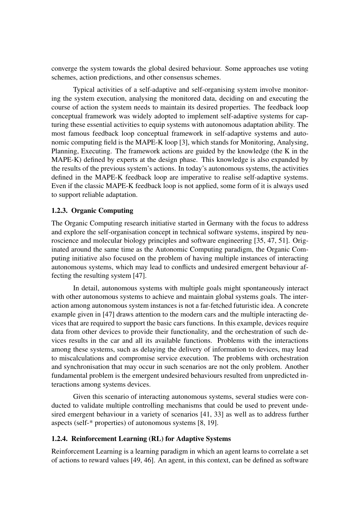converge the system towards the global desired behaviour. Some approaches use voting schemes, action predictions, and other consensus schemes.

Typical activities of a self-adaptive and self-organising system involve monitoring the system execution, analysing the monitored data, deciding on and executing the course of action the system needs to maintain its desired properties. The feedback loop conceptual framework was widely adopted to implement self-adaptive systems for capturing these essential activities to equip systems with autonomous adaptation ability. The most famous feedback loop conceptual framework in self-adaptive systems and autonomic computing field is the MAPE-K loop [3], which stands for Monitoring, Analysing, Planning, Executing. The framework actions are guided by the knowledge (the K in the MAPE-K) defined by experts at the design phase. This knowledge is also expanded by the results of the previous system's actions. In today's autonomous systems, the activities defined in the MAPE-K feedback loop are imperative to realise self-adaptive systems. Even if the classic MAPE-K feedback loop is not applied, some form of it is always used to support reliable adaptation.

#### 1.2.3. Organic Computing

The Organic Computing research initiative started in Germany with the focus to address and explore the self-organisation concept in technical software systems, inspired by neuroscience and molecular biology principles and software engineering [35, 47, 51]. Originated around the same time as the Autonomic Computing paradigm, the Organic Computing initiative also focused on the problem of having multiple instances of interacting autonomous systems, which may lead to conflicts and undesired emergent behaviour affecting the resulting system [47].

In detail, autonomous systems with multiple goals might spontaneously interact with other autonomous systems to achieve and maintain global systems goals. The interaction among autonomous system instances is not a far-fetched futuristic idea. A concrete example given in [47] draws attention to the modern cars and the multiple interacting devices that are required to support the basic cars functions. In this example, devices require data from other devices to provide their functionality, and the orchestration of such devices results in the car and all its available functions. Problems with the interactions among these systems, such as delaying the delivery of information to devices, may lead to miscalculations and compromise service execution. The problems with orchestration and synchronisation that may occur in such scenarios are not the only problem. Another fundamental problem is the emergent undesired behaviours resulted from unpredicted interactions among systems devices.

Given this scenario of interacting autonomous systems, several studies were conducted to validate multiple controlling mechanisms that could be used to prevent undesired emergent behaviour in a variety of scenarios [41, 33] as well as to address further aspects (self-\* properties) of autonomous systems [8, 19].

#### 1.2.4. Reinforcement Learning (RL) for Adaptive Systems

Reinforcement Learning is a learning paradigm in which an agent learns to correlate a set of actions to reward values [49, 46]. An agent, in this context, can be defined as software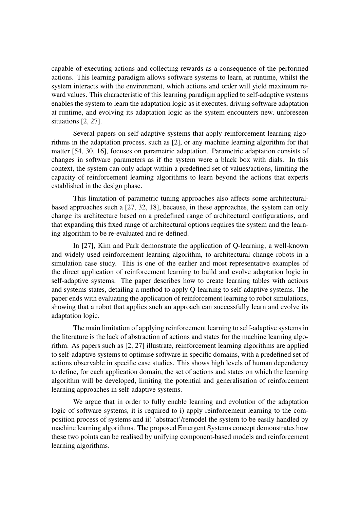capable of executing actions and collecting rewards as a consequence of the performed actions. This learning paradigm allows software systems to learn, at runtime, whilst the system interacts with the environment, which actions and order will yield maximum reward values. This characteristic of this learning paradigm applied to self-adaptive systems enables the system to learn the adaptation logic as it executes, driving software adaptation at runtime, and evolving its adaptation logic as the system encounters new, unforeseen situations [2, 27].

Several papers on self-adaptive systems that apply reinforcement learning algorithms in the adaptation process, such as [2], or any machine learning algorithm for that matter [54, 30, 16], focuses on parametric adaptation. Parametric adaptation consists of changes in software parameters as if the system were a black box with dials. In this context, the system can only adapt within a predefined set of values/actions, limiting the capacity of reinforcement learning algorithms to learn beyond the actions that experts established in the design phase.

This limitation of parametric tuning approaches also affects some architecturalbased approaches such a [27, 32, 18], because, in these approaches, the system can only change its architecture based on a predefined range of architectural configurations, and that expanding this fixed range of architectural options requires the system and the learning algorithm to be re-evaluated and re-defined.

In [27], Kim and Park demonstrate the application of Q-learning, a well-known and widely used reinforcement learning algorithm, to architectural change robots in a simulation case study. This is one of the earlier and most representative examples of the direct application of reinforcement learning to build and evolve adaptation logic in self-adaptive systems. The paper describes how to create learning tables with actions and systems states, detailing a method to apply Q-learning to self-adaptive systems. The paper ends with evaluating the application of reinforcement learning to robot simulations, showing that a robot that applies such an approach can successfully learn and evolve its adaptation logic.

The main limitation of applying reinforcement learning to self-adaptive systems in the literature is the lack of abstraction of actions and states for the machine learning algorithm. As papers such as [2, 27] illustrate, reinforcement learning algorithms are applied to self-adaptive systems to optimise software in specific domains, with a predefined set of actions observable in specific case studies. This shows high levels of human dependency to define, for each application domain, the set of actions and states on which the learning algorithm will be developed, limiting the potential and generalisation of reinforcement learning approaches in self-adaptive systems.

We argue that in order to fully enable learning and evolution of the adaptation logic of software systems, it is required to i) apply reinforcement learning to the composition process of systems and ii) 'abstract'/remodel the system to be easily handled by machine learning algorithms. The proposed Emergent Systems concept demonstrates how these two points can be realised by unifying component-based models and reinforcement learning algorithms.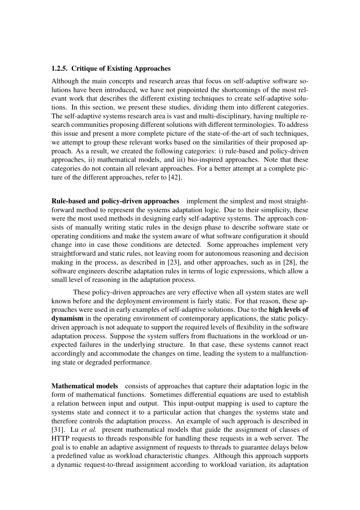#### 1.2.5. Critique of Existing Approaches

Although the main concepts and research areas that focus on self-adaptive software solutions have been introduced, we have not pinpointed the shortcomings of the most relevant work that describes the different existing techniques to create self-adaptive solutions. In this section, we present these studies, dividing them into different categories. The self-adaptive systems research area is vast and multi-disciplinary, having multiple research communities proposing different solutions with different terminologies. To address this issue and present a more complete picture of the state-of-the-art of such techniques, we attempt to group these relevant works based on the similarities of their proposed approach. As a result, we created the following categories: i) rule-based and policy-driven approaches, ii) mathematical models, and iii) bio-inspired approaches. Note that these categories do not contain all relevant approaches. For a better attempt at a complete picture of the different approaches, refer to [42].

Rule-based and policy-driven approaches implement the simplest and most straightforward method to represent the systems adaptation logic. Due to their simplicity, these were the most used methods in designing early self-adaptive systems. The approach consists of manually writing static rules in the design phase to describe software state or operating conditions and make the system aware of what software configuration it should change into in case those conditions are detected. Some approaches implement very straightforward and static rules, not leaving room for autonomous reasoning and decision making in the process, as described in [23], and other approaches, such as in [28], the software engineers describe adaptation rules in terms of logic expressions, which allow a small level of reasoning in the adaptation process.

These policy-driven approaches are very effective when all system states are well known before and the deployment environment is fairly static. For that reason, these approaches were used in early examples of self-adaptive solutions. Due to the high levels of dynamism in the operating environment of contemporary applications, the static policydriven approach is not adequate to support the required levels of flexibility in the software adaptation process. Suppose the system suffers from fluctuations in the workload or unexpected failures in the underlying structure. In that case, these systems cannot react accordingly and accommodate the changes on time, leading the system to a malfunctioning state or degraded performance.

Mathematical models consists of approaches that capture their adaptation logic in the form of mathematical functions. Sometimes differential equations are used to establish a relation between input and output. This input-output mapping is used to capture the systems state and connect it to a particular action that changes the systems state and therefore controls the adaptation process. An example of such approach is described in [31]. Lu *et al.* present mathematical models that guide the assignment of classes of HTTP requests to threads responsible for handling these requests in a web server. The goal is to enable an adaptive assignment of requests to threads to guarantee delays below a predefined value as workload characteristic changes. Although this approach supports a dynamic request-to-thread assignment according to workload variation, its adaptation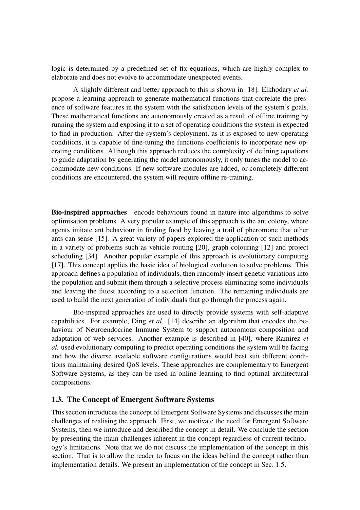logic is determined by a predefined set of fix equations, which are highly complex to elaborate and does not evolve to accommodate unexpected events.

A slightly different and better approach to this is shown in [18]. Elkhodary *et al.* propose a learning approach to generate mathematical functions that correlate the presence of software features in the system with the satisfaction levels of the system's goals. These mathematical functions are autonomously created as a result of offline training by running the system and exposing it to a set of operating conditions the system is expected to find in production. After the system's deployment, as it is exposed to new operating conditions, it is capable of fine-tuning the functions coefficients to incorporate new operating conditions. Although this approach reduces the complexity of defining equations to guide adaptation by generating the model autonomously, it only tunes the model to accommodate new conditions. If new software modules are added, or completely different conditions are encountered, the system will require offline re-training.

Bio-inspired approaches encode behaviours found in nature into algorithms to solve optimisation problems. A very popular example of this approach is the ant colony, where agents imitate ant behaviour in finding food by leaving a trail of pheromone that other ants can sense [15]. A great variety of papers explored the application of such methods in a variety of problems such as vehicle routing [20], graph colouring [12] and project scheduling [34]. Another popular example of this approach is evolutionary computing [17]. This concept applies the basic idea of biological evolution to solve problems. This approach defines a population of individuals, then randomly insert genetic variations into the population and submit them through a selective process eliminating some individuals and leaving the fittest according to a selection function. The remaining individuals are used to build the next generation of individuals that go through the process again.

Bio-inspired approaches are used to directly provide systems with self-adaptive capabilities. For example, Ding *et al.* [14] describe an algorithm that encodes the behaviour of Neuroendocrine Immune System to support autonomous composition and adaptation of web services. Another example is described in [40], where Ramirez *et al.* used evolutionary computing to predict operating conditions the system will be facing and how the diverse available software configurations would best suit different conditions maintaining desired QoS levels. These approaches are complementary to Emergent Software Systems, as they can be used in online learning to find optimal architectural compositions.

#### 1.3. The Concept of Emergent Software Systems

This section introduces the concept of Emergent Software Systems and discusses the main challenges of realising the approach. First, we motivate the need for Emergent Software Systems, then we introduce and described the concept in detail. We conclude the section by presenting the main challenges inherent in the concept regardless of current technology's limitations. Note that we do not discuss the implementation of the concept in this section. That is to allow the reader to focus on the ideas behind the concept rather than implementation details. We present an implementation of the concept in Sec. 1.5.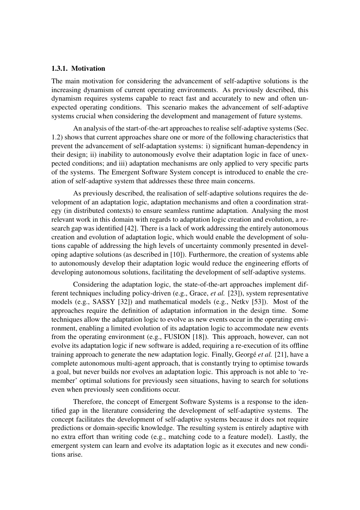#### 1.3.1. Motivation

The main motivation for considering the advancement of self-adaptive solutions is the increasing dynamism of current operating environments. As previously described, this dynamism requires systems capable to react fast and accurately to new and often unexpected operating conditions. This scenario makes the advancement of self-adaptive systems crucial when considering the development and management of future systems.

An analysis of the start-of-the-art approaches to realise self-adaptive systems (Sec. 1.2) shows that current approaches share one or more of the following characteristics that prevent the advancement of self-adaptation systems: i) significant human-dependency in their design; ii) inability to autonomously evolve their adaptation logic in face of unexpected conditions; and iii) adaptation mechanisms are only applied to very specific parts of the systems. The Emergent Software System concept is introduced to enable the creation of self-adaptive system that addresses these three main concerns.

As previously described, the realisation of self-adaptive solutions requires the development of an adaptation logic, adaptation mechanisms and often a coordination strategy (in distributed contexts) to ensure seamless runtime adaptation. Analysing the most relevant work in this domain with regards to adaptation logic creation and evolution, a research gap was identified [42]. There is a lack of work addressing the entirely autonomous creation and evolution of adaptation logic, which would enable the development of solutions capable of addressing the high levels of uncertainty commonly presented in developing adaptive solutions (as described in [10]). Furthermore, the creation of systems able to autonomously develop their adaptation logic would reduce the engineering efforts of developing autonomous solutions, facilitating the development of self-adaptive systems.

Considering the adaptation logic, the state-of-the-art approaches implement different techniques including policy-driven (e.g., Grace, *et al.* [23]), system representative models (e.g., SASSY [32]) and mathematical models (e.g., Netkv [53]). Most of the approaches require the definition of adaptation information in the design time. Some techniques allow the adaptation logic to evolve as new events occur in the operating environment, enabling a limited evolution of its adaptation logic to accommodate new events from the operating environment (e.g., FUSION [18]). This approach, however, can not evolve its adaptation logic if new software is added, requiring a re-execution of its offline training approach to generate the new adaptation logic. Finally, Georgé *et al.* [21], have a complete autonomous multi-agent approach, that is constantly trying to optimise towards a goal, but never builds nor evolves an adaptation logic. This approach is not able to 'remember' optimal solutions for previously seen situations, having to search for solutions even when previously seen conditions occur.

Therefore, the concept of Emergent Software Systems is a response to the identified gap in the literature considering the development of self-adaptive systems. The concept facilitates the development of self-adaptive systems because it does not require predictions or domain-specific knowledge. The resulting system is entirely adaptive with no extra effort than writing code (e.g., matching code to a feature model). Lastly, the emergent system can learn and evolve its adaptation logic as it executes and new conditions arise.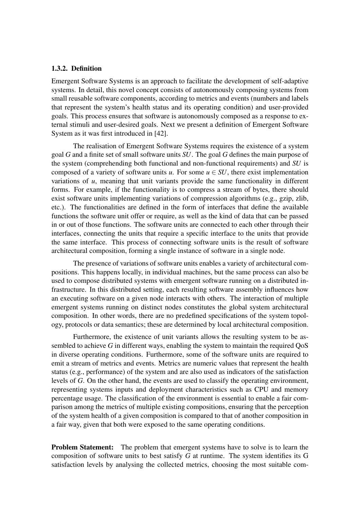#### 1.3.2. Definition

Emergent Software Systems is an approach to facilitate the development of self-adaptive systems. In detail, this novel concept consists of autonomously composing systems from small reusable software components, according to metrics and events (numbers and labels that represent the system's health status and its operating condition) and user-provided goals. This process ensures that software is autonomously composed as a response to external stimuli and user-desired goals. Next we present a definition of Emergent Software System as it was first introduced in [42].

The realisation of Emergent Software Systems requires the existence of a system goal *G* and a finite set of small software units *SU*. The goal *G* defines the main purpose of the system (comprehending both functional and non-functional requirements) and *SU* is composed of a variety of software units  $u$ . For some  $u \in SU$ , there exist implementation variations of *u*, meaning that unit variants provide the same functionality in different forms. For example, if the functionality is to compress a stream of bytes, there should exist software units implementing variations of compression algorithms (e.g., gzip, zlib, etc.). The functionalities are defined in the form of interfaces that define the available functions the software unit offer or require, as well as the kind of data that can be passed in or out of those functions. The software units are connected to each other through their interfaces, connecting the units that require a specific interface to the units that provide the same interface. This process of connecting software units is the result of software architectural composition, forming a single instance of software in a single node.

The presence of variations of software units enables a variety of architectural compositions. This happens locally, in individual machines, but the same process can also be used to compose distributed systems with emergent software running on a distributed infrastructure. In this distributed setting, each resulting software assembly influences how an executing software on a given node interacts with others. The interaction of multiple emergent systems running on distinct nodes constitutes the global system architectural composition. In other words, there are no predefined specifications of the system topology, protocols or data semantics; these are determined by local architectural composition.

Furthermore, the existence of unit variants allows the resulting system to be assembled to achieve *G* in different ways, enabling the system to maintain the required QoS in diverse operating conditions. Furthermore, some of the software units are required to emit a stream of metrics and events. Metrics are numeric values that represent the health status (e.g., performance) of the system and are also used as indicators of the satisfaction levels of *G*. On the other hand, the events are used to classify the operating environment, representing systems inputs and deployment characteristics such as CPU and memory percentage usage. The classification of the environment is essential to enable a fair comparison among the metrics of multiple existing compositions, ensuring that the perception of the system health of a given composition is compared to that of another composition in a fair way, given that both were exposed to the same operating conditions.

**Problem Statement:** The problem that emergent systems have to solve is to learn the composition of software units to best satisfy *G* at runtime. The system identifies its G satisfaction levels by analysing the collected metrics, choosing the most suitable com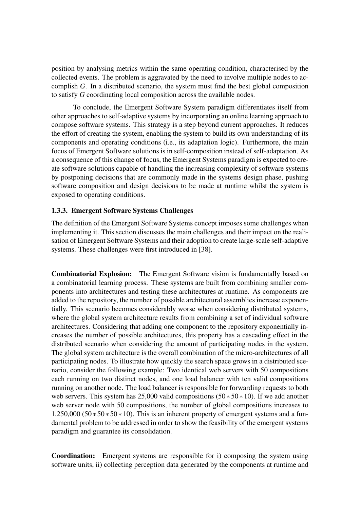position by analysing metrics within the same operating condition, characterised by the collected events. The problem is aggravated by the need to involve multiple nodes to accomplish *G*. In a distributed scenario, the system must find the best global composition to satisfy *G* coordinating local composition across the available nodes.

To conclude, the Emergent Software System paradigm differentiates itself from other approaches to self-adaptive systems by incorporating an online learning approach to compose software systems. This strategy is a step beyond current approaches. It reduces the effort of creating the system, enabling the system to build its own understanding of its components and operating conditions (i.e., its adaptation logic). Furthermore, the main focus of Emergent Software solutions is in self-composition instead of self-adaptation. As a consequence of this change of focus, the Emergent Systems paradigm is expected to create software solutions capable of handling the increasing complexity of software systems by postponing decisions that are commonly made in the systems design phase, pushing software composition and design decisions to be made at runtime whilst the system is exposed to operating conditions.

#### 1.3.3. Emergent Software Systems Challenges

The definition of the Emergent Software Systems concept imposes some challenges when implementing it. This section discusses the main challenges and their impact on the realisation of Emergent Software Systems and their adoption to create large-scale self-adaptive systems. These challenges were first introduced in [38].

Combinatorial Explosion: The Emergent Software vision is fundamentally based on a combinatorial learning process. These systems are built from combining smaller components into architectures and testing these architectures at runtime. As components are added to the repository, the number of possible architectural assemblies increase exponentially. This scenario becomes considerably worse when considering distributed systems, where the global system architecture results from combining a set of individual software architectures. Considering that adding one component to the repository exponentially increases the number of possible architectures, this property has a cascading effect in the distributed scenario when considering the amount of participating nodes in the system. The global system architecture is the overall combination of the micro-architectures of all participating nodes. To illustrate how quickly the search space grows in a distributed scenario, consider the following example: Two identical web servers with 50 compositions each running on two distinct nodes, and one load balancer with ten valid compositions running on another node. The load balancer is responsible for forwarding requests to both web servers. This system has 25,000 valid compositions  $(50 * 50 * 10)$ . If we add another web server node with 50 compositions, the number of global compositions increases to  $1,250,000$  (50  $\ast$  50  $\ast$  50  $\ast$  10). This is an inherent property of emergent systems and a fundamental problem to be addressed in order to show the feasibility of the emergent systems paradigm and guarantee its consolidation.

Coordination: Emergent systems are responsible for i) composing the system using software units, ii) collecting perception data generated by the components at runtime and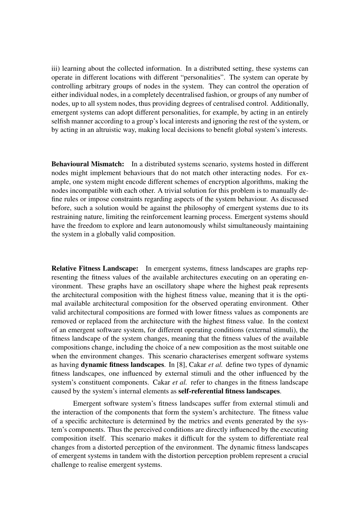iii) learning about the collected information. In a distributed setting, these systems can operate in different locations with different "personalities". The system can operate by controlling arbitrary groups of nodes in the system. They can control the operation of either individual nodes, in a completely decentralised fashion, or groups of any number of nodes, up to all system nodes, thus providing degrees of centralised control. Additionally, emergent systems can adopt different personalities, for example, by acting in an entirely selfish manner according to a group's local interests and ignoring the rest of the system, or by acting in an altruistic way, making local decisions to benefit global system's interests.

Behavioural Mismatch: In a distributed systems scenario, systems hosted in different nodes might implement behaviours that do not match other interacting nodes. For example, one system might encode different schemes of encryption algorithms, making the nodes incompatible with each other. A trivial solution for this problem is to manually define rules or impose constraints regarding aspects of the system behaviour. As discussed before, such a solution would be against the philosophy of emergent systems due to its restraining nature, limiting the reinforcement learning process. Emergent systems should have the freedom to explore and learn autonomously whilst simultaneously maintaining the system in a globally valid composition.

Relative Fitness Landscape: In emergent systems, fitness landscapes are graphs representing the fitness values of the available architectures executing on an operating environment. These graphs have an oscillatory shape where the highest peak represents the architectural composition with the highest fitness value, meaning that it is the optimal available architectural composition for the observed operating environment. Other valid architectural compositions are formed with lower fitness values as components are removed or replaced from the architecture with the highest fitness value. In the context of an emergent software system, for different operating conditions (external stimuli), the fitness landscape of the system changes, meaning that the fitness values of the available compositions change, including the choice of a new composition as the most suitable one when the environment changes. This scenario characterises emergent software systems as having dynamic fitness landscapes. In [8], Cakar *et al.* define two types of dynamic fitness landscapes, one influenced by external stimuli and the other influenced by the system's constituent components. Cakar *et al.* refer to changes in the fitness landscape caused by the system's internal elements as self-referential fitness landscapes.

Emergent software system's fitness landscapes suffer from external stimuli and the interaction of the components that form the system's architecture. The fitness value of a specific architecture is determined by the metrics and events generated by the system's components. Thus the perceived conditions are directly influenced by the executing composition itself. This scenario makes it difficult for the system to differentiate real changes from a distorted perception of the environment. The dynamic fitness landscapes of emergent systems in tandem with the distortion perception problem represent a crucial challenge to realise emergent systems.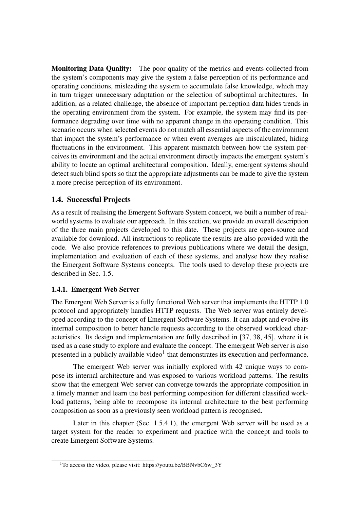Monitoring Data Quality: The poor quality of the metrics and events collected from the system's components may give the system a false perception of its performance and operating conditions, misleading the system to accumulate false knowledge, which may in turn trigger unnecessary adaptation or the selection of suboptimal architectures. In addition, as a related challenge, the absence of important perception data hides trends in the operating environment from the system. For example, the system may find its performance degrading over time with no apparent change in the operating condition. This scenario occurs when selected events do not match all essential aspects of the environment that impact the system's performance or when event averages are miscalculated, hiding fluctuations in the environment. This apparent mismatch between how the system perceives its environment and the actual environment directly impacts the emergent system's ability to locate an optimal architectural composition. Ideally, emergent systems should detect such blind spots so that the appropriate adjustments can be made to give the system a more precise perception of its environment.

# 1.4. Successful Projects

As a result of realising the Emergent Software System concept, we built a number of realworld systems to evaluate our approach. In this section, we provide an overall description of the three main projects developed to this date. These projects are open-source and available for download. All instructions to replicate the results are also provided with the code. We also provide references to previous publications where we detail the design, implementation and evaluation of each of these systems, and analyse how they realise the Emergent Software Systems concepts. The tools used to develop these projects are described in Sec. 1.5.

#### 1.4.1. Emergent Web Server

The Emergent Web Server is a fully functional Web server that implements the HTTP 1.0 protocol and appropriately handles HTTP requests. The Web server was entirely developed according to the concept of Emergent Software Systems. It can adapt and evolve its internal composition to better handle requests according to the observed workload characteristics. Its design and implementation are fully described in [37, 38, 45], where it is used as a case study to explore and evaluate the concept. The emergent Web server is also presented in a publicly available video<sup>1</sup> that demonstrates its execution and performance.

The emergent Web server was initially explored with 42 unique ways to compose its internal architecture and was exposed to various workload patterns. The results show that the emergent Web server can converge towards the appropriate composition in a timely manner and learn the best performing composition for different classified workload patterns, being able to recompose its internal architecture to the best performing composition as soon as a previously seen workload pattern is recognised.

Later in this chapter (Sec. 1.5.4.1), the emergent Web server will be used as a target system for the reader to experiment and practice with the concept and tools to create Emergent Software Systems.

 $1$ To access the video, please visit: https://youtu.be/BBNvbC6w 3Y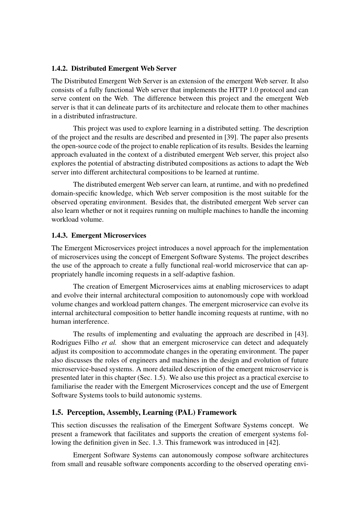#### 1.4.2. Distributed Emergent Web Server

The Distributed Emergent Web Server is an extension of the emergent Web server. It also consists of a fully functional Web server that implements the HTTP 1.0 protocol and can serve content on the Web. The difference between this project and the emergent Web server is that it can delineate parts of its architecture and relocate them to other machines in a distributed infrastructure.

This project was used to explore learning in a distributed setting. The description of the project and the results are described and presented in [39]. The paper also presents the open-source code of the project to enable replication of its results. Besides the learning approach evaluated in the context of a distributed emergent Web server, this project also explores the potential of abstracting distributed compositions as actions to adapt the Web server into different architectural compositions to be learned at runtime.

The distributed emergent Web server can learn, at runtime, and with no predefined domain-specific knowledge, which Web server composition is the most suitable for the observed operating environment. Besides that, the distributed emergent Web server can also learn whether or not it requires running on multiple machines to handle the incoming workload volume.

#### 1.4.3. Emergent Microservices

The Emergent Microservices project introduces a novel approach for the implementation of microservices using the concept of Emergent Software Systems. The project describes the use of the approach to create a fully functional real-world microservice that can appropriately handle incoming requests in a self-adaptive fashion.

The creation of Emergent Microservices aims at enabling microservices to adapt and evolve their internal architectural composition to autonomously cope with workload volume changes and workload pattern changes. The emergent microservice can evolve its internal architectural composition to better handle incoming requests at runtime, with no human interference.

The results of implementing and evaluating the approach are described in [43]. Rodrigues Filho *et al.* show that an emergent microservice can detect and adequately adjust its composition to accommodate changes in the operating environment. The paper also discusses the roles of engineers and machines in the design and evolution of future microservice-based systems. A more detailed description of the emergent microservice is presented later in this chapter (Sec. 1.5). We also use this project as a practical exercise to familiarise the reader with the Emergent Microservices concept and the use of Emergent Software Systems tools to build autonomic systems.

# 1.5. Perception, Assembly, Learning (PAL) Framework

This section discusses the realisation of the Emergent Software Systems concept. We present a framework that facilitates and supports the creation of emergent systems following the definition given in Sec. 1.3. This framework was introduced in [42].

Emergent Software Systems can autonomously compose software architectures from small and reusable software components according to the observed operating envi-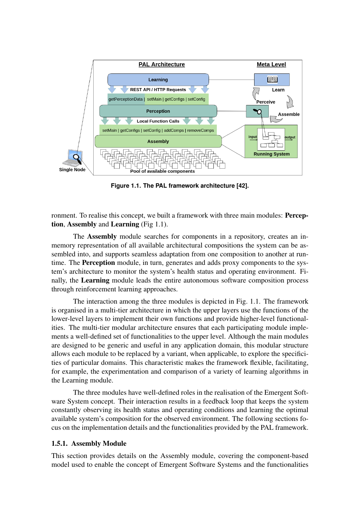

**Figure 1.1. The PAL framework architecture [42].**

ronment. To realise this concept, we built a framework with three main modules: Perception, Assembly and Learning (Fig 1.1).

The Assembly module searches for components in a repository, creates an inmemory representation of all available architectural compositions the system can be assembled into, and supports seamless adaptation from one composition to another at runtime. The Perception module, in turn, generates and adds proxy components to the system's architecture to monitor the system's health status and operating environment. Finally, the Learning module leads the entire autonomous software composition process through reinforcement learning approaches.

The interaction among the three modules is depicted in Fig. 1.1. The framework is organised in a multi-tier architecture in which the upper layers use the functions of the lower-level layers to implement their own functions and provide higher-level functionalities. The multi-tier modular architecture ensures that each participating module implements a well-defined set of functionalities to the upper level. Although the main modules are designed to be generic and useful in any application domain, this modular structure allows each module to be replaced by a variant, when applicable, to explore the specificities of particular domains. This characteristic makes the framework flexible, facilitating, for example, the experimentation and comparison of a variety of learning algorithms in the Learning module.

The three modules have well-defined roles in the realisation of the Emergent Software System concept. Their interaction results in a feedback loop that keeps the system constantly observing its health status and operating conditions and learning the optimal available system's composition for the observed environment. The following sections focus on the implementation details and the functionalities provided by the PAL framework.

#### 1.5.1. Assembly Module

This section provides details on the Assembly module, covering the component-based model used to enable the concept of Emergent Software Systems and the functionalities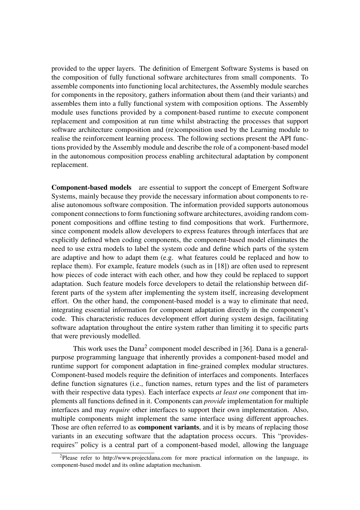provided to the upper layers. The definition of Emergent Software Systems is based on the composition of fully functional software architectures from small components. To assemble components into functioning local architectures, the Assembly module searches for components in the repository, gathers information about them (and their variants) and assembles them into a fully functional system with composition options. The Assembly module uses functions provided by a component-based runtime to execute component replacement and composition at run time whilst abstracting the processes that support software architecture composition and (re)composition used by the Learning module to realise the reinforcement learning process. The following sections present the API functions provided by the Assembly module and describe the role of a component-based model in the autonomous composition process enabling architectural adaptation by component replacement.

Component-based models are essential to support the concept of Emergent Software Systems, mainly because they provide the necessary information about components to realise autonomous software composition. The information provided supports autonomous component connections to form functioning software architectures, avoiding random component compositions and offline testing to find compositions that work. Furthermore, since component models allow developers to express features through interfaces that are explicitly defined when coding components, the component-based model eliminates the need to use extra models to label the system code and define which parts of the system are adaptive and how to adapt them (e.g. what features could be replaced and how to replace them). For example, feature models (such as in [18]) are often used to represent how pieces of code interact with each other, and how they could be replaced to support adaptation. Such feature models force developers to detail the relationship between different parts of the system after implementing the system itself, increasing development effort. On the other hand, the component-based model is a way to eliminate that need, integrating essential information for component adaptation directly in the component's code. This characteristic reduces development effort during system design, facilitating software adaptation throughout the entire system rather than limiting it to specific parts that were previously modelled.

This work uses the  $Dana<sup>2</sup>$  component model described in [36]. Dana is a generalpurpose programming language that inherently provides a component-based model and runtime support for component adaptation in fine-grained complex modular structures. Component-based models require the definition of interfaces and components. Interfaces define function signatures (i.e., function names, return types and the list of parameters with their respective data types). Each interface expects *at least one* component that implements all functions defined in it. Components can *provide* implementation for multiple interfaces and may *require* other interfaces to support their own implementation. Also, multiple components might implement the same interface using different approaches. Those are often referred to as **component variants**, and it is by means of replacing those variants in an executing software that the adaptation process occurs. This "providesrequires" policy is a central part of a component-based model, allowing the language

<sup>&</sup>lt;sup>2</sup>Please refer to http://www.projectdana.com for more practical information on the language, its component-based model and its online adaptation mechanism.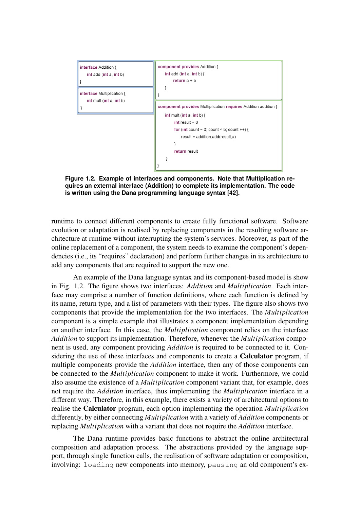

**Figure 1.2. Example of interfaces and components. Note that Multiplication requires an external interface (Addition) to complete its implementation. The code is written using the Dana programming language syntax [42].**

runtime to connect different components to create fully functional software. Software evolution or adaptation is realised by replacing components in the resulting software architecture at runtime without interrupting the system's services. Moreover, as part of the online replacement of a component, the system needs to examine the component's dependencies (i.e., its "requires" declaration) and perform further changes in its architecture to add any components that are required to support the new one.

An example of the Dana language syntax and its component-based model is show in Fig. 1.2. The figure shows two interfaces: *Addition* and *Multiplication*. Each interface may comprise a number of function definitions, where each function is defined by its name, return type, and a list of parameters with their types. The figure also shows two components that provide the implementation for the two interfaces. The *Multiplication* component is a simple example that illustrates a component implementation depending on another interface. In this case, the *Multiplication* component relies on the interface *Addition* to support its implementation. Therefore, whenever the *Multiplication* component is used, any component providing *Addition* is required to be connected to it. Considering the use of these interfaces and components to create a Calculator program, if multiple components provide the *Addition* interface, then any of those components can be connected to the *Multiplication* component to make it work. Furthermore, we could also assume the existence of a *Multiplication* component variant that, for example, does not require the *Addition* interface, thus implementing the *Multiplication* interface in a different way. Therefore, in this example, there exists a variety of architectural options to realise the Calculator program, each option implementing the operation *Multiplication* differently, by either connecting *Multiplication* with a variety of *Addition* components or replacing *Multiplication* with a variant that does not require the *Addition* interface.

The Dana runtime provides basic functions to abstract the online architectural composition and adaptation process. The abstractions provided by the language support, through single function calls, the realisation of software adaptation or composition, involving: loading new components into memory, pausing an old component's ex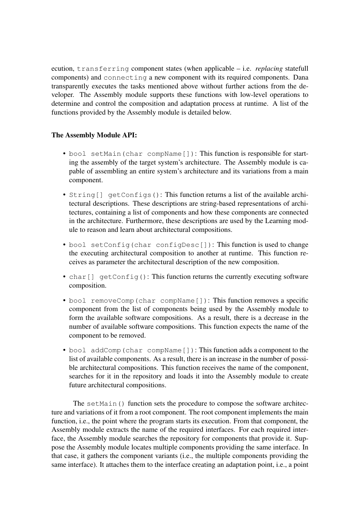ecution, transferring component states (when applicable – i.e. *replacing* statefull components) and connecting a new component with its required components. Dana transparently executes the tasks mentioned above without further actions from the developer. The Assembly module supports these functions with low-level operations to determine and control the composition and adaptation process at runtime. A list of the functions provided by the Assembly module is detailed below.

# The Assembly Module API:

- bool setMain(char compName[]): This function is responsible for starting the assembly of the target system's architecture. The Assembly module is capable of assembling an entire system's architecture and its variations from a main component.
- String[] getConfigs(): This function returns a list of the available architectural descriptions. These descriptions are string-based representations of architectures, containing a list of components and how these components are connected in the architecture. Furthermore, these descriptions are used by the Learning module to reason and learn about architectural compositions.
- bool setConfig(char configDesc[]): This function is used to change the executing architectural composition to another at runtime. This function receives as parameter the architectural description of the new composition.
- char [] getConfig(): This function returns the currently executing software composition.
- bool removeComp(char compName[]): This function removes a specific component from the list of components being used by the Assembly module to form the available software compositions. As a result, there is a decrease in the number of available software compositions. This function expects the name of the component to be removed.
- bool addComp(char compName[]): This function adds a component to the list of available components. As a result, there is an increase in the number of possible architectural compositions. This function receives the name of the component, searches for it in the repository and loads it into the Assembly module to create future architectural compositions.

The setMain() function sets the procedure to compose the software architecture and variations of it from a root component. The root component implements the main function, i.e., the point where the program starts its execution. From that component, the Assembly module extracts the name of the required interfaces. For each required interface, the Assembly module searches the repository for components that provide it. Suppose the Assembly module locates multiple components providing the same interface. In that case, it gathers the component variants (i.e., the multiple components providing the same interface). It attaches them to the interface creating an adaptation point, i.e., a point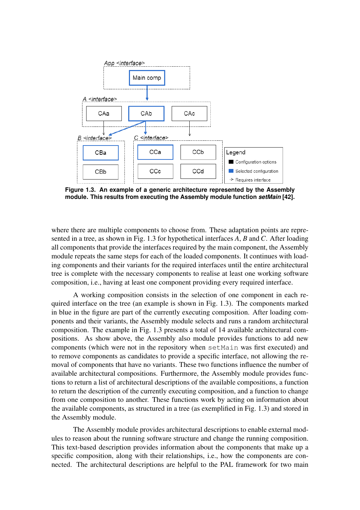

**Figure 1.3. An example of a generic architecture represented by the Assembly module. This results from executing the Assembly module function** *setMain* **[42].**

where there are multiple components to choose from. These adaptation points are represented in a tree, as shown in Fig. 1.3 for hypothetical interfaces *A*, *B* and *C*. After loading all components that provide the interfaces required by the main component, the Assembly module repeats the same steps for each of the loaded components. It continues with loading components and their variants for the required interfaces until the entire architectural tree is complete with the necessary components to realise at least one working software composition, i.e., having at least one component providing every required interface.

A working composition consists in the selection of one component in each required interface on the tree (an example is shown in Fig. 1.3). The components marked in blue in the figure are part of the currently executing composition. After loading components and their variants, the Assembly module selects and runs a random architectural composition. The example in Fig. 1.3 presents a total of 14 available architectural compositions. As show above, the Assembly also module provides functions to add new components (which were not in the repository when setMain was first executed) and to remove components as candidates to provide a specific interface, not allowing the removal of components that have no variants. These two functions influence the number of available architectural compositions. Furthermore, the Assembly module provides functions to return a list of architectural descriptions of the available compositions, a function to return the description of the currently executing composition, and a function to change from one composition to another. These functions work by acting on information about the available components, as structured in a tree (as exemplified in Fig. 1.3) and stored in the Assembly module.

The Assembly module provides architectural descriptions to enable external modules to reason about the running software structure and change the running composition. This text-based description provides information about the components that make up a specific composition, along with their relationships, i.e., how the components are connected. The architectural descriptions are helpful to the PAL framework for two main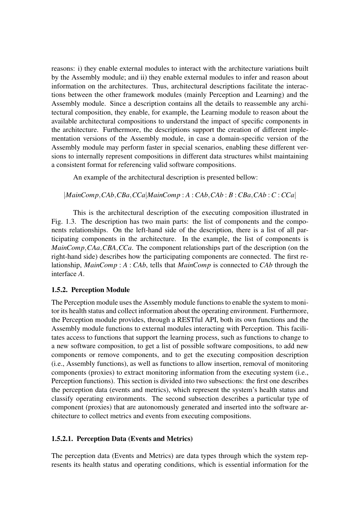reasons: i) they enable external modules to interact with the architecture variations built by the Assembly module; and ii) they enable external modules to infer and reason about information on the architectures. Thus, architectural descriptions facilitate the interactions between the other framework modules (mainly Perception and Learning) and the Assembly module. Since a description contains all the details to reassemble any architectural composition, they enable, for example, the Learning module to reason about the available architectural compositions to understand the impact of specific components in the architecture. Furthermore, the descriptions support the creation of different implementation versions of the Assembly module, in case a domain-specific version of the Assembly module may perform faster in special scenarios, enabling these different versions to internally represent compositions in different data structures whilst maintaining a consistent format for referencing valid software compositions.

An example of the architectural description is presented bellow:

|*MainComp*,*CAb*,*CBa*,*CCa*|*MainComp* : *A* : *CAb*,*CAb* : *B* : *CBa*,*CAb* : *C* : *CCa*|

This is the architectural description of the executing composition illustrated in Fig. 1.3. The description has two main parts: the list of components and the components relationships. On the left-hand side of the description, there is a list of all participating components in the architecture. In the example, the list of components is *MainComp*,*CAa*,*CBA*,*CCa*. The component relationships part of the description (on the right-hand side) describes how the participating components are connected. The first relationship, *MainComp* : *A* : *CAb*, tells that *MainComp* is connected to *CAb* through the interface *A*.

# 1.5.2. Perception Module

The Perception module uses the Assembly module functions to enable the system to monitor its health status and collect information about the operating environment. Furthermore, the Perception module provides, through a RESTful API, both its own functions and the Assembly module functions to external modules interacting with Perception. This facilitates access to functions that support the learning process, such as functions to change to a new software composition, to get a list of possible software compositions, to add new components or remove components, and to get the executing composition description (i.e., Assembly functions), as well as functions to allow insertion, removal of monitoring components (proxies) to extract monitoring information from the executing system (i.e., Perception functions). This section is divided into two subsections: the first one describes the perception data (events and metrics), which represent the system's health status and classify operating environments. The second subsection describes a particular type of component (proxies) that are autonomously generated and inserted into the software architecture to collect metrics and events from executing compositions.

#### 1.5.2.1. Perception Data (Events and Metrics)

The perception data (Events and Metrics) are data types through which the system represents its health status and operating conditions, which is essential information for the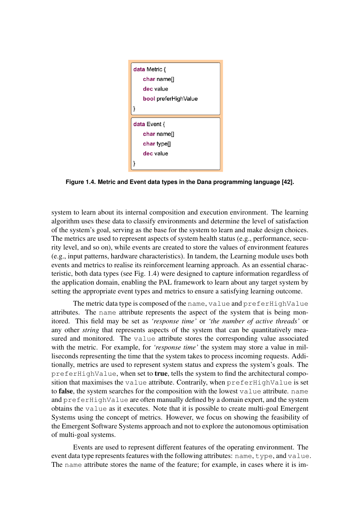

**Figure 1.4. Metric and Event data types in the Dana programming language [42].**

system to learn about its internal composition and execution environment. The learning algorithm uses these data to classify environments and determine the level of satisfaction of the system's goal, serving as the base for the system to learn and make design choices. The metrics are used to represent aspects of system health status (e.g., performance, security level, and so on), while events are created to store the values of environment features (e.g., input patterns, hardware characteristics). In tandem, the Learning module uses both events and metrics to realise its reinforcement learning approach. As an essential characteristic, both data types (see Fig. 1.4) were designed to capture information regardless of the application domain, enabling the PAL framework to learn about any target system by setting the appropriate event types and metrics to ensure a satisfying learning outcome.

The metric data type is composed of the name, value and preferHighValue attributes. The name attribute represents the aspect of the system that is being monitored. This field may be set as *'response time'* or *'the number of active threads'* or any other *string* that represents aspects of the system that can be quantitatively measured and monitored. The value attribute stores the corresponding value associated with the metric. For example, for *'response time'* the system may store a value in milliseconds representing the time that the system takes to process incoming requests. Additionally, metrics are used to represent system status and express the system's goals. The preferHighValue, when set to true, tells the system to find the architectural composition that maximises the value attribute. Contrarily, when preferHighValue is set to false, the system searches for the composition with the lowest value attribute. name and preferHighValue are often manually defined by a domain expert, and the system obtains the value as it executes. Note that it is possible to create multi-goal Emergent Systems using the concept of metrics. However, we focus on showing the feasibility of the Emergent Software Systems approach and not to explore the autonomous optimisation of multi-goal systems.

Events are used to represent different features of the operating environment. The event data type represents features with the following attributes: name, type, and value. The name attribute stores the name of the feature; for example, in cases where it is im-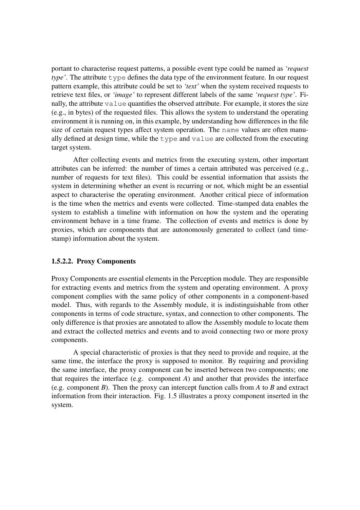portant to characterise request patterns, a possible event type could be named as *'request type'*. The attribute  $\tau$ ype defines the data type of the environment feature. In our request pattern example, this attribute could be set to *'text'* when the system received requests to retrieve text files, or *'image'* to represent different labels of the same *'request type'*. Finally, the attribute value quantifies the observed attribute. For example, it stores the size (e.g., in bytes) of the requested files. This allows the system to understand the operating environment it is running on, in this example, by understanding how differences in the file size of certain request types affect system operation. The name values are often manually defined at design time, while the type and value are collected from the executing target system.

After collecting events and metrics from the executing system, other important attributes can be inferred: the number of times a certain attributed was perceived (e.g., number of requests for text files). This could be essential information that assists the system in determining whether an event is recurring or not, which might be an essential aspect to characterise the operating environment. Another critical piece of information is the time when the metrics and events were collected. Time-stamped data enables the system to establish a timeline with information on how the system and the operating environment behave in a time frame. The collection of events and metrics is done by proxies, which are components that are autonomously generated to collect (and timestamp) information about the system.

#### 1.5.2.2. Proxy Components

Proxy Components are essential elements in the Perception module. They are responsible for extracting events and metrics from the system and operating environment. A proxy component complies with the same policy of other components in a component-based model. Thus, with regards to the Assembly module, it is indistinguishable from other components in terms of code structure, syntax, and connection to other components. The only difference is that proxies are annotated to allow the Assembly module to locate them and extract the collected metrics and events and to avoid connecting two or more proxy components.

A special characteristic of proxies is that they need to provide and require, at the same time, the interface the proxy is supposed to monitor. By requiring and providing the same interface, the proxy component can be inserted between two components; one that requires the interface (e.g. component *A*) and another that provides the interface (e.g. component *B*). Then the proxy can intercept function calls from *A* to *B* and extract information from their interaction. Fig. 1.5 illustrates a proxy component inserted in the system.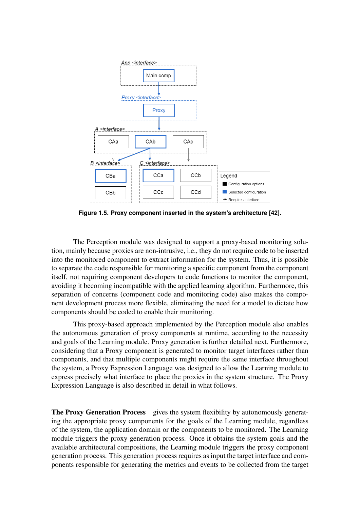

**Figure 1.5. Proxy component inserted in the system's architecture [42].**

The Perception module was designed to support a proxy-based monitoring solution, mainly because proxies are non-intrusive, i.e., they do not require code to be inserted into the monitored component to extract information for the system. Thus, it is possible to separate the code responsible for monitoring a specific component from the component itself, not requiring component developers to code functions to monitor the component, avoiding it becoming incompatible with the applied learning algorithm. Furthermore, this separation of concerns (component code and monitoring code) also makes the component development process more flexible, eliminating the need for a model to dictate how components should be coded to enable their monitoring.

This proxy-based approach implemented by the Perception module also enables the autonomous generation of proxy components at runtime, according to the necessity and goals of the Learning module. Proxy generation is further detailed next. Furthermore, considering that a Proxy component is generated to monitor target interfaces rather than components, and that multiple components might require the same interface throughout the system, a Proxy Expression Language was designed to allow the Learning module to express precisely what interface to place the proxies in the system structure. The Proxy Expression Language is also described in detail in what follows.

The Proxy Generation Process gives the system flexibility by autonomously generating the appropriate proxy components for the goals of the Learning module, regardless of the system, the application domain or the components to be monitored. The Learning module triggers the proxy generation process. Once it obtains the system goals and the available architectural compositions, the Learning module triggers the proxy component generation process. This generation process requires as input the target interface and components responsible for generating the metrics and events to be collected from the target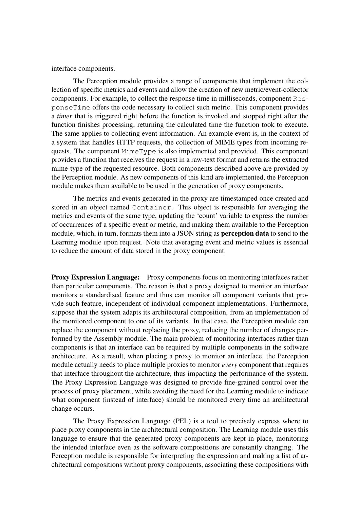interface components.

The Perception module provides a range of components that implement the collection of specific metrics and events and allow the creation of new metric/event-collector components. For example, to collect the response time in milliseconds, component ResponseTime offers the code necessary to collect such metric. This component provides a *timer* that is triggered right before the function is invoked and stopped right after the function finishes processing, returning the calculated time the function took to execute. The same applies to collecting event information. An example event is, in the context of a system that handles HTTP requests, the collection of MIME types from incoming requests. The component MimeType is also implemented and provided. This component provides a function that receives the request in a raw-text format and returns the extracted mime-type of the requested resource. Both components described above are provided by the Perception module. As new components of this kind are implemented, the Perception module makes them available to be used in the generation of proxy components.

The metrics and events generated in the proxy are timestamped once created and stored in an object named Container. This object is responsible for averaging the metrics and events of the same type, updating the 'count' variable to express the number of occurrences of a specific event or metric, and making them available to the Perception module, which, in turn, formats them into a JSON string as perception data to send to the Learning module upon request. Note that averaging event and metric values is essential to reduce the amount of data stored in the proxy component.

Proxy Expression Language: Proxy components focus on monitoring interfaces rather than particular components. The reason is that a proxy designed to monitor an interface monitors a standardised feature and thus can monitor all component variants that provide such feature, independent of individual component implementations. Furthermore, suppose that the system adapts its architectural composition, from an implementation of the monitored component to one of its variants. In that case, the Perception module can replace the component without replacing the proxy, reducing the number of changes performed by the Assembly module. The main problem of monitoring interfaces rather than components is that an interface can be required by multiple components in the software architecture. As a result, when placing a proxy to monitor an interface, the Perception module actually needs to place multiple proxies to monitor *every* component that requires that interface throughout the architecture, thus impacting the performance of the system. The Proxy Expression Language was designed to provide fine-grained control over the process of proxy placement, while avoiding the need for the Learning module to indicate what component (instead of interface) should be monitored every time an architectural change occurs.

The Proxy Expression Language (PEL) is a tool to precisely express where to place proxy components in the architectural composition. The Learning module uses this language to ensure that the generated proxy components are kept in place, monitoring the intended interface even as the software compositions are constantly changing. The Perception module is responsible for interpreting the expression and making a list of architectural compositions without proxy components, associating these compositions with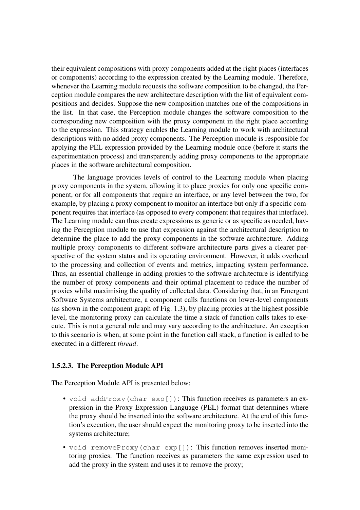their equivalent compositions with proxy components added at the right places (interfaces or components) according to the expression created by the Learning module. Therefore, whenever the Learning module requests the software composition to be changed, the Perception module compares the new architecture description with the list of equivalent compositions and decides. Suppose the new composition matches one of the compositions in the list. In that case, the Perception module changes the software composition to the corresponding new composition with the proxy component in the right place according to the expression. This strategy enables the Learning module to work with architectural descriptions with no added proxy components. The Perception module is responsible for applying the PEL expression provided by the Learning module once (before it starts the experimentation process) and transparently adding proxy components to the appropriate places in the software architectural composition.

The language provides levels of control to the Learning module when placing proxy components in the system, allowing it to place proxies for only one specific component, or for all components that require an interface, or any level between the two, for example, by placing a proxy component to monitor an interface but only if a specific component requires that interface (as opposed to every component that requires that interface). The Learning module can thus create expressions as generic or as specific as needed, having the Perception module to use that expression against the architectural description to determine the place to add the proxy components in the software architecture. Adding multiple proxy components to different software architecture parts gives a clearer perspective of the system status and its operating environment. However, it adds overhead to the processing and collection of events and metrics, impacting system performance. Thus, an essential challenge in adding proxies to the software architecture is identifying the number of proxy components and their optimal placement to reduce the number of proxies whilst maximising the quality of collected data. Considering that, in an Emergent Software Systems architecture, a component calls functions on lower-level components (as shown in the component graph of Fig. 1.3), by placing proxies at the highest possible level, the monitoring proxy can calculate the time a stack of function calls takes to execute. This is not a general rule and may vary according to the architecture. An exception to this scenario is when, at some point in the function call stack, a function is called to be executed in a different *thread*.

# 1.5.2.3. The Perception Module API

The Perception Module API is presented below:

- void addProxy(char exp[]): This function receives as parameters an expression in the Proxy Expression Language (PEL) format that determines where the proxy should be inserted into the software architecture. At the end of this function's execution, the user should expect the monitoring proxy to be inserted into the systems architecture;
- void removeProxy(char exp[]): This function removes inserted monitoring proxies. The function receives as parameters the same expression used to add the proxy in the system and uses it to remove the proxy;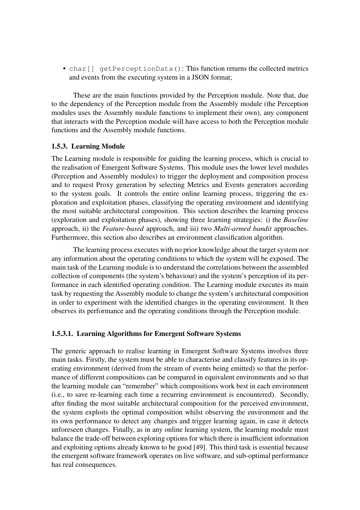• char<sup>[]</sup> getPerceptionData(): This function returns the collected metrics and events from the executing system in a JSON format;

These are the main functions provided by the Perception module. Note that, due to the dependency of the Perception module from the Assembly module (the Perception modules uses the Assembly module functions to implement their own), any component that interacts with the Perception module will have access to both the Perception module functions and the Assembly module functions.

#### 1.5.3. Learning Module

The Learning module is responsible for guiding the learning process, which is crucial to the realisation of Emergent Software Systems. This module uses the lower level modules (Perception and Assembly modules) to trigger the deployment and composition process and to request Proxy generation by selecting Metrics and Events generators according to the system goals. It controls the entire online learning process, triggering the exploration and exploitation phases, classifying the operating environment and identifying the most suitable architectural composition. This section describes the learning process (exploration and exploitation phases), showing three learning strategies: i) the *Baseline* approach, ii) the *Feature-based* approach, and iii) two *Multi-armed bandit* approaches. Furthermore, this section also describes an environment classification algorithm.

The learning process executes with no prior knowledge about the target system nor any information about the operating conditions to which the system will be exposed. The main task of the Learning module is to understand the correlations between the assembled collection of components (the system's behaviour) and the system's perception of its performance in each identified operating condition. The Learning module executes its main task by requesting the Assembly module to change the system's architectural composition in order to experiment with the identified changes in the operating environment. It then observes its performance and the operating conditions through the Perception module.

#### 1.5.3.1. Learning Algorithms for Emergent Software Systems

The generic approach to realise learning in Emergent Software Systems involves three main tasks. Firstly, the system must be able to characterise and classify features in its operating environment (derived from the stream of events being emitted) so that the performance of different compositions can be compared in equivalent environments and so that the learning module can "remember" which compositions work best in each environment (i.e., to save re-learning each time a recurring environment is encountered). Secondly, after finding the most suitable architectural composition for the perceived environment, the system exploits the optimal composition whilst observing the environment and the its own performance to detect any changes and trigger learning again, in case it detects unforeseen changes. Finally, as in any online learning system, the learning module must balance the trade-off between exploring options for which there is insufficient information and exploiting options already known to be good [49]. This third task is essential because the emergent software framework operates on live software, and sub-optimal performance has real consequences.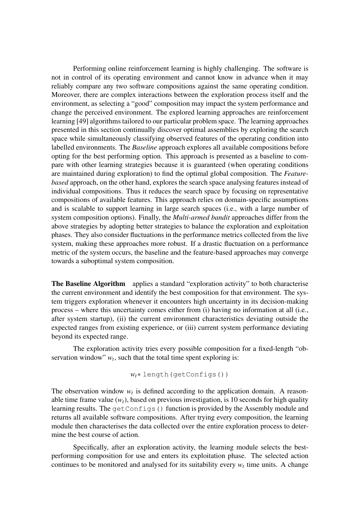Performing online reinforcement learning is highly challenging. The software is not in control of its operating environment and cannot know in advance when it may reliably compare any two software compositions against the same operating condition. Moreover, there are complex interactions between the exploration process itself and the environment, as selecting a "good" composition may impact the system performance and change the perceived environment. The explored learning approaches are reinforcement learning [49] algorithms tailored to our particular problem space. The learning approaches presented in this section continually discover optimal assemblies by exploring the search space while simultaneously classifying observed features of the operating condition into labelled environments. The *Baseline* approach explores all available compositions before opting for the best performing option. This approach is presented as a baseline to compare with other learning strategies because it is guaranteed (when operating conditions are maintained during exploration) to find the optimal global composition. The *Featurebased* approach, on the other hand, explores the search space analysing features instead of individual compositions. Thus it reduces the search space by focusing on representative compositions of available features. This approach relies on domain-specific assumptions and is scalable to support learning in large search spaces (i.e., with a large number of system composition options). Finally, the *Multi-armed bandit* approaches differ from the above strategies by adopting better strategies to balance the exploration and exploitation phases. They also consider fluctuations in the performance metrics collected from the live system, making these approaches more robust. If a drastic fluctuation on a performance metric of the system occurs, the baseline and the feature-based approaches may converge towards a suboptimal system composition.

The Baseline Algorithm applies a standard "exploration activity" to both characterise the current environment and identify the best composition for that environment. The system triggers exploration whenever it encounters high uncertainty in its decision-making process – where this uncertainty comes either from (i) having no information at all (i.e., after system startup), (ii) the current environment characteristics deviating outside the expected ranges from existing experience, or (iii) current system performance deviating beyond its expected range.

The exploration activity tries every possible composition for a fixed-length "observation window"  $w_t$ , such that the total time spent exploring is:

$$
w_t *
$$
 length`(getConfig())`

The observation window  $w_t$  is defined according to the application domain. A reasonable time frame value  $(w_t)$ , based on previous investigation, is 10 seconds for high quality learning results. The getConfigs() function is provided by the Assembly module and returns all available software compositions. After trying every composition, the learning module then characterises the data collected over the entire exploration process to determine the best course of action.

Specifically, after an exploration activity, the learning module selects the bestperforming composition for use and enters its exploitation phase. The selected action continues to be monitored and analysed for its suitability every  $w_t$  time units. A change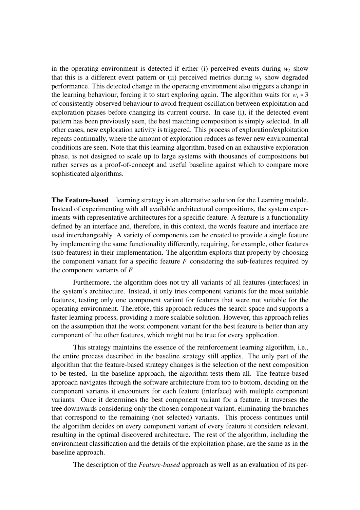in the operating environment is detected if either (i) perceived events during  $w_t$  show that this is a different event pattern or (ii) perceived metrics during  $w_t$  show degraded performance. This detected change in the operating environment also triggers a change in the learning behaviour, forcing it to start exploring again. The algorithm waits for  $w_t * 3$ of consistently observed behaviour to avoid frequent oscillation between exploitation and exploration phases before changing its current course. In case (i), if the detected event pattern has been previously seen, the best matching composition is simply selected. In all other cases, new exploration activity is triggered. This process of exploration/exploitation repeats continually, where the amount of exploration reduces as fewer new environmental conditions are seen. Note that this learning algorithm, based on an exhaustive exploration phase, is not designed to scale up to large systems with thousands of compositions but rather serves as a proof-of-concept and useful baseline against which to compare more sophisticated algorithms.

The Feature-based learning strategy is an alternative solution for the Learning module. Instead of experimenting with all available architectural compositions, the system experiments with representative architectures for a specific feature. A feature is a functionality defined by an interface and, therefore, in this context, the words feature and interface are used interchangeably. A variety of components can be created to provide a single feature by implementing the same functionality differently, requiring, for example, other features (sub-features) in their implementation. The algorithm exploits that property by choosing the component variant for a specific feature  $F$  considering the sub-features required by the component variants of *F*.

Furthermore, the algorithm does not try all variants of all features (interfaces) in the system's architecture. Instead, it only tries component variants for the most suitable features, testing only one component variant for features that were not suitable for the operating environment. Therefore, this approach reduces the search space and supports a faster learning process, providing a more scalable solution. However, this approach relies on the assumption that the worst component variant for the best feature is better than any component of the other features, which might not be true for every application.

This strategy maintains the essence of the reinforcement learning algorithm, i.e., the entire process described in the baseline strategy still applies. The only part of the algorithm that the feature-based strategy changes is the selection of the next composition to be tested. In the baseline approach, the algorithm tests them all. The feature-based approach navigates through the software architecture from top to bottom, deciding on the component variants it encounters for each feature (interface) with multiple component variants. Once it determines the best component variant for a feature, it traverses the tree downwards considering only the chosen component variant, eliminating the branches that correspond to the remaining (not selected) variants. This process continues until the algorithm decides on every component variant of every feature it considers relevant, resulting in the optimal discovered architecture. The rest of the algorithm, including the environment classification and the details of the exploitation phase, are the same as in the baseline approach.

The description of the *Feature-based* approach as well as an evaluation of its per-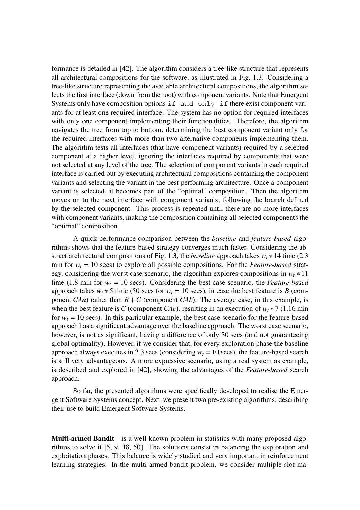formance is detailed in [42]. The algorithm considers a tree-like structure that represents all architectural compositions for the software, as illustrated in Fig. 1.3. Considering a tree-like structure representing the available architectural compositions, the algorithm selects the first interface (down from the root) with component variants. Note that Emergent Systems only have composition options if and only if there exist component variants for at least one required interface. The system has no option for required interfaces with only one component implementing their functionalities. Therefore, the algorithm navigates the tree from top to bottom, determining the best component variant only for the required interfaces with more than two alternative components implementing them. The algorithm tests all interfaces (that have component variants) required by a selected component at a higher level, ignoring the interfaces required by components that were not selected at any level of the tree. The selection of component variants in each required interface is carried out by executing architectural compositions containing the component variants and selecting the variant in the best performing architecture. Once a component variant is selected, it becomes part of the "optimal" composition. Then the algorithm moves on to the next interface with component variants, following the branch defined by the selected component. This process is repeated until there are no more interfaces with component variants, making the composition containing all selected components the "optimal" composition.

A quick performance comparison between the *baseline* and *feature-based* algorithms shows that the feature-based strategy converges much faster. Considering the abstract architectural compositions of Fig. 1.3, the *baseline* approach takes  $w_t * 14$  time (2.3) min for  $w_t = 10$  secs) to explore all possible compositions. For the *Feature-based* strategy, considering the worst case scenario, the algorithm explores compositions in  $w_t * 11$ time (1.8 min for  $w_t = 10$  secs). Considering the best case scenario, the *Feature-based* approach takes  $w_t * 5$  time (50 secs for  $w_t = 10$  secs), in case the best feature is *B* (component *CAa*) rather than  $B + C$  (component *CAb*). The average case, in this example, is when the best feature is *C* (component *CAc*), resulting in an execution of  $w_t * 7$  (1.16 min for  $w_t = 10$  secs). In this particular example, the best case scenario for the feature-based approach has a significant advantage over the baseline approach. The worst case scenario, however, is not as significant, having a difference of only 30 secs (and not guaranteeing global optimality). However, if we consider that, for every exploration phase the baseline approach always executes in 2.3 secs (considering  $w_t = 10$  secs), the feature-based search is still very advantageous. A more expressive scenario, using a real system as example, is described and explored in [42], showing the advantages of the *Feature-based* search approach.

So far, the presented algorithms were specifically developed to realise the Emergent Software Systems concept. Next, we present two pre-existing algorithms, describing their use to build Emergent Software Systems.

**Multi-armed Bandit** is a well-known problem in statistics with many proposed algorithms to solve it [5, 9, 48, 50]. The solutions consist in balancing the exploration and exploitation phases. This balance is widely studied and very important in reinforcement learning strategies. In the multi-armed bandit problem, we consider multiple slot ma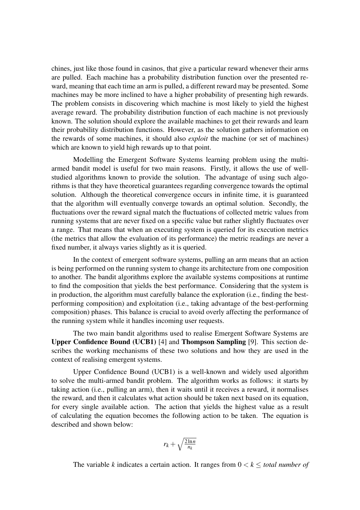chines, just like those found in casinos, that give a particular reward whenever their arms are pulled. Each machine has a probability distribution function over the presented reward, meaning that each time an arm is pulled, a different reward may be presented. Some machines may be more inclined to have a higher probability of presenting high rewards. The problem consists in discovering which machine is most likely to yield the highest average reward. The probability distribution function of each machine is not previously known. The solution should explore the available machines to get their rewards and learn their probability distribution functions. However, as the solution gathers information on the rewards of some machines, it should also *exploit* the machine (or set of machines) which are known to yield high rewards up to that point.

Modelling the Emergent Software Systems learning problem using the multiarmed bandit model is useful for two main reasons. Firstly, it allows the use of wellstudied algorithms known to provide the solution. The advantage of using such algorithms is that they have theoretical guarantees regarding convergence towards the optimal solution. Although the theoretical convergence occurs in infinite time, it is guaranteed that the algorithm will eventually converge towards an optimal solution. Secondly, the fluctuations over the reward signal match the fluctuations of collected metric values from running systems that are never fixed on a specific value but rather slightly fluctuates over a range. That means that when an executing system is queried for its execution metrics (the metrics that allow the evaluation of its performance) the metric readings are never a fixed number, it always varies slightly as it is queried.

In the context of emergent software systems, pulling an arm means that an action is being performed on the running system to change its architecture from one composition to another. The bandit algorithms explore the available systems compositions at runtime to find the composition that yields the best performance. Considering that the system is in production, the algorithm must carefully balance the exploration (i.e., finding the bestperforming composition) and exploitation (i.e., taking advantage of the best-performing composition) phases. This balance is crucial to avoid overly affecting the performance of the running system while it handles incoming user requests.

The two main bandit algorithms used to realise Emergent Software Systems are Upper Confidence Bound (UCB1) [4] and Thompson Sampling [9]. This section describes the working mechanisms of these two solutions and how they are used in the context of realising emergent systems.

Upper Confidence Bound (UCB1) is a well-known and widely used algorithm to solve the multi-armed bandit problem. The algorithm works as follows: it starts by taking action (i.e., pulling an arm), then it waits until it receives a reward, it normalises the reward, and then it calculates what action should be taken next based on its equation, for every single available action. The action that yields the highest value as a result of calculating the equation becomes the following action to be taken. The equation is described and shown below:

$$
r_k + \sqrt{\frac{2\ln n}{n_k}}
$$

The variable *k* indicates a certain action. It ranges from  $0 \lt k \lt$  *total number of*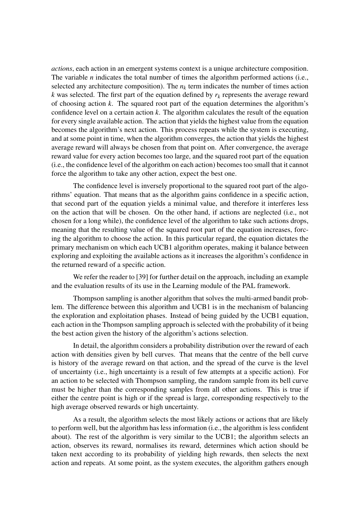*actions*, each action in an emergent systems context is a unique architecture composition. The variable *n* indicates the total number of times the algorithm performed actions (i.e., selected any architecture composition). The  $n_k$  term indicates the number of times action *k* was selected. The first part of the equation defined by  $r_k$  represents the average reward of choosing action *k*. The squared root part of the equation determines the algorithm's confidence level on a certain action *k*. The algorithm calculates the result of the equation for every single available action. The action that yields the highest value from the equation becomes the algorithm's next action. This process repeats while the system is executing, and at some point in time, when the algorithm converges, the action that yields the highest average reward will always be chosen from that point on. After convergence, the average reward value for every action becomes too large, and the squared root part of the equation (i.e., the confidence level of the algorithm on each action) becomes too small that it cannot force the algorithm to take any other action, expect the best one.

The confidence level is inversely proportional to the squared root part of the algorithms' equation. That means that as the algorithm gains confidence in a specific action, that second part of the equation yields a minimal value, and therefore it interferes less on the action that will be chosen. On the other hand, if actions are neglected (i.e., not chosen for a long while), the confidence level of the algorithm to take such actions drops, meaning that the resulting value of the squared root part of the equation increases, forcing the algorithm to choose the action. In this particular regard, the equation dictates the primary mechanism on which each UCB1 algorithm operates, making it balance between exploring and exploiting the available actions as it increases the algorithm's confidence in the returned reward of a specific action.

We refer the reader to [39] for further detail on the approach, including an example and the evaluation results of its use in the Learning module of the PAL framework.

Thompson sampling is another algorithm that solves the multi-armed bandit problem. The difference between this algorithm and UCB1 is in the mechanism of balancing the exploration and exploitation phases. Instead of being guided by the UCB1 equation, each action in the Thompson sampling approach is selected with the probability of it being the best action given the history of the algorithm's actions selection.

In detail, the algorithm considers a probability distribution over the reward of each action with densities given by bell curves. That means that the centre of the bell curve is history of the average reward on that action, and the spread of the curve is the level of uncertainty (i.e., high uncertainty is a result of few attempts at a specific action). For an action to be selected with Thompson sampling, the random sample from its bell curve must be higher than the corresponding samples from all other actions. This is true if either the centre point is high or if the spread is large, corresponding respectively to the high average observed rewards or high uncertainty.

As a result, the algorithm selects the most likely actions or actions that are likely to perform well, but the algorithm has less information (i.e., the algorithm is less confident about). The rest of the algorithm is very similar to the UCB1; the algorithm selects an action, observes its reward, normalises its reward, determines which action should be taken next according to its probability of yielding high rewards, then selects the next action and repeats. At some point, as the system executes, the algorithm gathers enough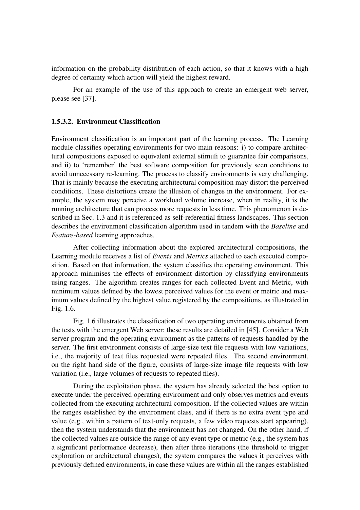information on the probability distribution of each action, so that it knows with a high degree of certainty which action will yield the highest reward.

For an example of the use of this approach to create an emergent web server, please see [37].

#### 1.5.3.2. Environment Classification

Environment classification is an important part of the learning process. The Learning module classifies operating environments for two main reasons: i) to compare architectural compositions exposed to equivalent external stimuli to guarantee fair comparisons, and ii) to 'remember' the best software composition for previously seen conditions to avoid unnecessary re-learning. The process to classify environments is very challenging. That is mainly because the executing architectural composition may distort the perceived conditions. These distortions create the illusion of changes in the environment. For example, the system may perceive a workload volume increase, when in reality, it is the running architecture that can process more requests in less time. This phenomenon is described in Sec. 1.3 and it is referenced as self-referential fitness landscapes. This section describes the environment classification algorithm used in tandem with the *Baseline* and *Feature-based* learning approaches.

After collecting information about the explored architectural compositions, the Learning module receives a list of *Events* and *Metrics* attached to each executed composition. Based on that information, the system classifies the operating environment. This approach minimises the effects of environment distortion by classifying environments using ranges. The algorithm creates ranges for each collected Event and Metric, with minimum values defined by the lowest perceived values for the event or metric and maximum values defined by the highest value registered by the compositions, as illustrated in Fig. 1.6.

Fig. 1.6 illustrates the classification of two operating environments obtained from the tests with the emergent Web server; these results are detailed in [45]. Consider a Web server program and the operating environment as the patterns of requests handled by the server. The first environment consists of large-size text file requests with low variations, i.e., the majority of text files requested were repeated files. The second environment, on the right hand side of the figure, consists of large-size image file requests with low variation (i.e., large volumes of requests to repeated files).

During the exploitation phase, the system has already selected the best option to execute under the perceived operating environment and only observes metrics and events collected from the executing architectural composition. If the collected values are within the ranges established by the environment class, and if there is no extra event type and value (e.g., within a pattern of text-only requests, a few video requests start appearing), then the system understands that the environment has not changed. On the other hand, if the collected values are outside the range of any event type or metric (e.g., the system has a significant performance decrease), then after three iterations (the threshold to trigger exploration or architectural changes), the system compares the values it perceives with previously defined environments, in case these values are within all the ranges established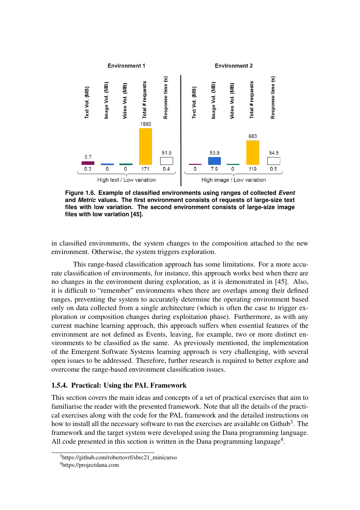

**Figure 1.6. Example of classified environments using ranges of collected** *Event* **and** *Metric* **values. The first environment consists of requests of large-size text files with low variation. The second environment consists of large-size image files with low variation [45].**

in classified environments, the system changes to the composition attached to the new environment. Otherwise, the system triggers exploration.

This range-based classification approach has some limitations. For a more accurate classification of environments, for instance, this approach works best when there are no changes in the environment during exploration, as it is demonstrated in [45]. Also, it is difficult to "remember" environments when there are overlaps among their defined ranges, preventing the system to accurately determine the operating environment based only on data collected from a single architecture (which is often the case to trigger exploration or composition changes during exploitation phase). Furthermore, as with any current machine learning approach, this approach suffers when essential features of the environment are not defined as Events, leaving, for example, two or more distinct environments to be classified as the same. As previously mentioned, the implementation of the Emergent Software Systems learning approach is very challenging, with several open issues to be addressed. Therefore, further research is required to better explore and overcome the range-based environment classification issues.

#### 1.5.4. Practical: Using the PAL Framework

This section covers the main ideas and concepts of a set of practical exercises that aim to familiarise the reader with the presented framework. Note that all the details of the practical exercises along with the code for the PAL framework and the detailed instructions on how to install all the necessary software to run the exercises are available on Github<sup>3</sup>. The framework and the target system were developed using the Dana programming language. All code presented in this section is written in the Dana programming language<sup>4</sup>.

<sup>3</sup>https://github.com/robertovrf/sbrc21\_minicurso

<sup>4</sup>https://projectdana.com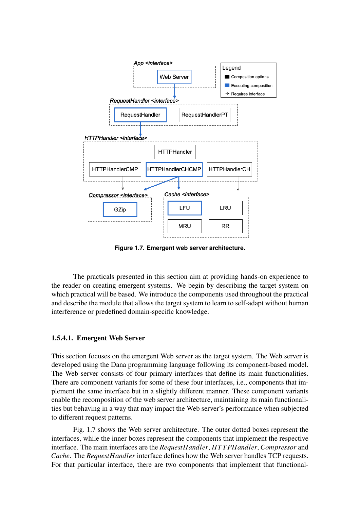

**Figure 1.7. Emergent web server architecture.**

The practicals presented in this section aim at providing hands-on experience to the reader on creating emergent systems. We begin by describing the target system on which practical will be based. We introduce the components used throughout the practical and describe the module that allows the target system to learn to self-adapt without human interference or predefined domain-specific knowledge.

#### 1.5.4.1. Emergent Web Server

This section focuses on the emergent Web server as the target system. The Web server is developed using the Dana programming language following its component-based model. The Web server consists of four primary interfaces that define its main functionalities. There are component variants for some of these four interfaces, i.e., components that implement the same interface but in a slightly different manner. These component variants enable the recomposition of the web server architecture, maintaining its main functionalities but behaving in a way that may impact the Web server's performance when subjected to different request patterns.

Fig. 1.7 shows the Web server architecture. The outer dotted boxes represent the interfaces, while the inner boxes represent the components that implement the respective interface. The main interfaces are the *RequestHandler*, *HT T PHandler*, *Compressor* and *Cache*. The *RequestHandler* interface defines how the Web server handles TCP requests. For that particular interface, there are two components that implement that functional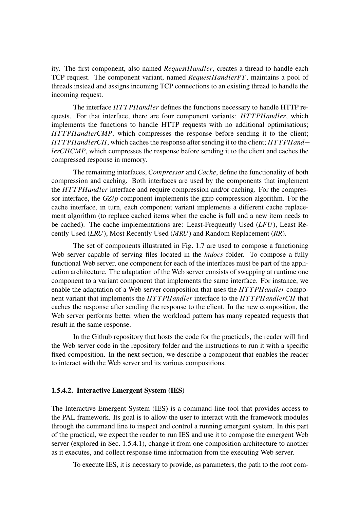ity. The first component, also named *RequestHandler*, creates a thread to handle each TCP request. The component variant, named *RequestHandlerPT*, maintains a pool of threads instead and assigns incoming TCP connections to an existing thread to handle the incoming request.

The interface *HT T PHandler* defines the functions necessary to handle HTTP requests. For that interface, there are four component variants: *HT T PHandler*, which implements the functions to handle HTTP requests with no additional optimisations; *HTTPHandlerCMP*, which compresses the response before sending it to the client; *HT T PHandlerCH*, which caches the response after sending it to the client; *HT T PHand*− *lerCHCMP*, which compresses the response before sending it to the client and caches the compressed response in memory.

The remaining interfaces, *Compressor* and *Cache*, define the functionality of both compression and caching. Both interfaces are used by the components that implement the *HT T PHandler* interface and require compression and/or caching. For the compressor interface, the *GZip* component implements the gzip compression algorithm. For the cache interface, in turn, each component variant implements a different cache replacement algorithm (to replace cached items when the cache is full and a new item needs to be cached). The cache implementations are: Least-Frequently Used (*LFU*), Least Recently Used (*LRU*), Most Recently Used (*MRU*) and Random Replacement (*RR*).

The set of components illustrated in Fig. 1.7 are used to compose a functioning Web server capable of serving files located in the *htdocs* folder. To compose a fully functional Web server, one component for each of the interfaces must be part of the application architecture. The adaptation of the Web server consists of swapping at runtime one component to a variant component that implements the same interface. For instance, we enable the adaptation of a Web server composition that uses the *HT T PHandler* component variant that implements the *HT T PHandler* interface to the *HT T PHandlerCH* that caches the response after sending the response to the client. In the new composition, the Web server performs better when the workload pattern has many repeated requests that result in the same response.

In the Github repository that hosts the code for the practicals, the reader will find the Web server code in the repository folder and the instructions to run it with a specific fixed composition. In the next section, we describe a component that enables the reader to interact with the Web server and its various compositions.

#### 1.5.4.2. Interactive Emergent System (IES)

The Interactive Emergent System (IES) is a command-line tool that provides access to the PAL framework. Its goal is to allow the user to interact with the framework modules through the command line to inspect and control a running emergent system. In this part of the practical, we expect the reader to run IES and use it to compose the emergent Web server (explored in Sec. 1.5.4.1), change it from one composition architecture to another as it executes, and collect response time information from the executing Web server.

To execute IES, it is necessary to provide, as parameters, the path to the root com-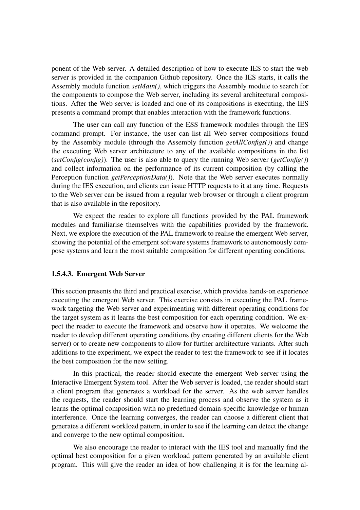ponent of the Web server. A detailed description of how to execute IES to start the web server is provided in the companion Github repository. Once the IES starts, it calls the Assembly module function *setMain()*, which triggers the Assembly module to search for the components to compose the Web server, including its several architectural compositions. After the Web server is loaded and one of its compositions is executing, the IES presents a command prompt that enables interaction with the framework functions.

The user can call any function of the ESS framework modules through the IES command prompt. For instance, the user can list all Web server compositions found by the Assembly module (through the Assembly function *getAllConfigs()*) and change the executing Web server architecture to any of the available compositions in the list (*setConfig(config)*). The user is also able to query the running Web server (*getConfig()*) and collect information on the performance of its current composition (by calling the Perception function *getPerceptionData()*). Note that the Web server executes normally during the IES execution, and clients can issue HTTP requests to it at any time. Requests to the Web server can be issued from a regular web browser or through a client program that is also available in the repository.

We expect the reader to explore all functions provided by the PAL framework modules and familiarise themselves with the capabilities provided by the framework. Next, we explore the execution of the PAL framework to realise the emergent Web server, showing the potential of the emergent software systems framework to autonomously compose systems and learn the most suitable composition for different operating conditions.

#### 1.5.4.3. Emergent Web Server

This section presents the third and practical exercise, which provides hands-on experience executing the emergent Web server. This exercise consists in executing the PAL framework targeting the Web server and experimenting with different operating conditions for the target system as it learns the best composition for each operating condition. We expect the reader to execute the framework and observe how it operates. We welcome the reader to develop different operating conditions (by creating different clients for the Web server) or to create new components to allow for further architecture variants. After such additions to the experiment, we expect the reader to test the framework to see if it locates the best composition for the new setting.

In this practical, the reader should execute the emergent Web server using the Interactive Emergent System tool. After the Web server is loaded, the reader should start a client program that generates a workload for the server. As the web server handles the requests, the reader should start the learning process and observe the system as it learns the optimal composition with no predefined domain-specific knowledge or human interference. Once the learning converges, the reader can choose a different client that generates a different workload pattern, in order to see if the learning can detect the change and converge to the new optimal composition.

We also encourage the reader to interact with the IES tool and manually find the optimal best composition for a given workload pattern generated by an available client program. This will give the reader an idea of how challenging it is for the learning al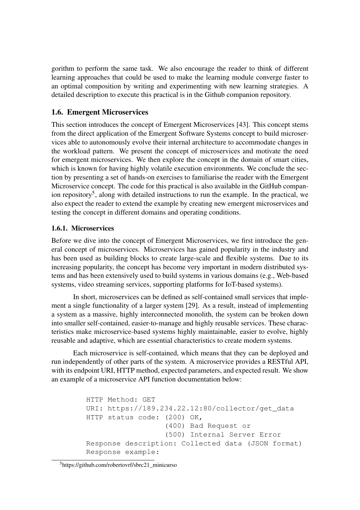gorithm to perform the same task. We also encourage the reader to think of different learning approaches that could be used to make the learning module converge faster to an optimal composition by writing and experimenting with new learning strategies. A detailed description to execute this practical is in the Github companion repository.

# 1.6. Emergent Microservices

This section introduces the concept of Emergent Microservices [43]. This concept stems from the direct application of the Emergent Software Systems concept to build microservices able to autonomously evolve their internal architecture to accommodate changes in the workload pattern. We present the concept of microservices and motivate the need for emergent microservices. We then explore the concept in the domain of smart cities, which is known for having highly volatile execution environments. We conclude the section by presenting a set of hands-on exercises to familiarise the reader with the Emergent Microservice concept. The code for this practical is also available in the GitHub companion repository<sup>5</sup>, along with detailed instructions to run the example. In the practical, we also expect the reader to extend the example by creating new emergent microservices and testing the concept in different domains and operating conditions.

# 1.6.1. Microservices

Before we dive into the concept of Emergent Microservices, we first introduce the general concept of microservices. Microservices has gained popularity in the industry and has been used as building blocks to create large-scale and flexible systems. Due to its increasing popularity, the concept has become very important in modern distributed systems and has been extensively used to build systems in various domains (e.g., Web-based systems, video streaming services, supporting platforms for IoT-based systems).

In short, microservices can be defined as self-contained small services that implement a single functionality of a larger system [29]. As a result, instead of implementing a system as a massive, highly interconnected monolith, the system can be broken down into smaller self-contained, easier-to-manage and highly reusable services. These characteristics make microservice-based systems highly maintainable, easier to evolve, highly reusable and adaptive, which are essential characteristics to create modern systems.

Each microservice is self-contained, which means that they can be deployed and run independently of other parts of the system. A microservice provides a RESTful API, with its endpoint URI, HTTP method, expected parameters, and expected result. We show an example of a microservice API function documentation below:

```
HTTP Method: GET
URI: https://189.234.22.12:80/collector/get_data
HTTP status code: (200) OK,
                  (400) Bad Request or
                  (500) Internal Server Error
Response description: Collected data (JSON format)
Response example:
```
#### <sup>5</sup>https://github.com/robertovrf/sbrc21\_minicurso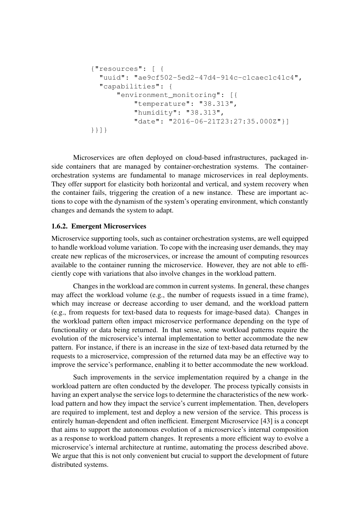```
{"resources": [ {
  "uuid": "ae9cf502-5ed2-47d4-914c-c1caec1c41c4",
  "capabilities": {
      "environment_monitoring": [{
          "temperature": "38.313",
          "humidity": "38.313",
          "date": "2016-06-21T23:27:35.000Z"}]
}}]}
```
Microservices are often deployed on cloud-based infrastructures, packaged inside containers that are managed by container-orchestration systems. The containerorchestration systems are fundamental to manage microservices in real deployments. They offer support for elasticity both horizontal and vertical, and system recovery when the container fails, triggering the creation of a new instance. These are important actions to cope with the dynamism of the system's operating environment, which constantly changes and demands the system to adapt.

#### 1.6.2. Emergent Microservices

Microservice supporting tools, such as container orchestration systems, are well equipped to handle workload volume variation. To cope with the increasing user demands, they may create new replicas of the microservices, or increase the amount of computing resources available to the container running the microservice. However, they are not able to efficiently cope with variations that also involve changes in the workload pattern.

Changes in the workload are common in current systems. In general, these changes may affect the workload volume (e.g., the number of requests issued in a time frame), which may increase or decrease according to user demand, and the workload pattern (e.g., from requests for text-based data to requests for image-based data). Changes in the workload pattern often impact microservice performance depending on the type of functionality or data being returned. In that sense, some workload patterns require the evolution of the microservice's internal implementation to better accommodate the new pattern. For instance, if there is an increase in the size of text-based data returned by the requests to a microservice, compression of the returned data may be an effective way to improve the service's performance, enabling it to better accommodate the new workload.

Such improvements in the service implementation required by a change in the workload pattern are often conducted by the developer. The process typically consists in having an expert analyse the service logs to determine the characteristics of the new workload pattern and how they impact the service's current implementation. Then, developers are required to implement, test and deploy a new version of the service. This process is entirely human-dependent and often inefficient. Emergent Microservice [43] is a concept that aims to support the autonomous evolution of a microservice's internal composition as a response to workload pattern changes. It represents a more efficient way to evolve a microservice's internal architecture at runtime, automating the process described above. We argue that this is not only convenient but crucial to support the development of future distributed systems.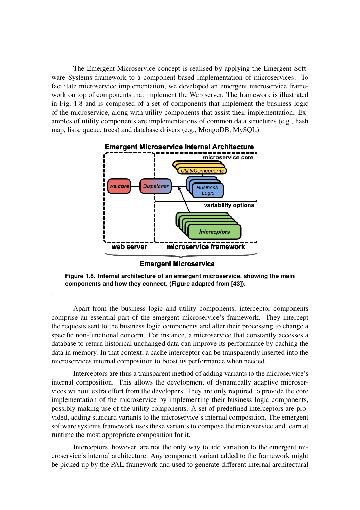The Emergent Microservice concept is realised by applying the Emergent Software Systems framework to a component-based implementation of microservices. To facilitate microservice implementation, we developed an emergent microservice framework on top of components that implement the Web server. The framework is illustrated in Fig. 1.8 and is composed of a set of components that implement the business logic of the microservice, along with utility components that assist their implementation. Examples of utility components are implementations of common data structures (e.g., hash map, lists, queue, trees) and database drivers (e.g., MongoDB, MySQL).



**Emergent Microservice** 

**Figure 1.8. Internal architecture of an emergent microservice, showing the main components and how they connect. (Figure adapted from [43]).**

.

Apart from the business logic and utility components, interceptor components comprise an essential part of the emergent microservice's framework. They intercept the requests sent to the business logic components and alter their processing to change a specific non-functional concern. For instance, a microservice that constantly accesses a database to return historical unchanged data can improve its performance by caching the data in memory. In that context, a cache interceptor can be transparently inserted into the microservices internal composition to boost its performance when needed.

Interceptors are thus a transparent method of adding variants to the microservice's internal composition. This allows the development of dynamically adaptive microservices without extra effort from the developers. They are only required to provide the core implementation of the microservice by implementing their business logic components, possibly making use of the utility components. A set of predefined interceptors are provided, adding standard variants to the microservice's internal composition. The emergent software systems framework uses these variants to compose the microservice and learn at runtime the most appropriate composition for it.

Interceptors, however, are not the only way to add variation to the emergent microservice's internal architecture. Any component variant added to the framework might be picked up by the PAL framework and used to generate different internal architectural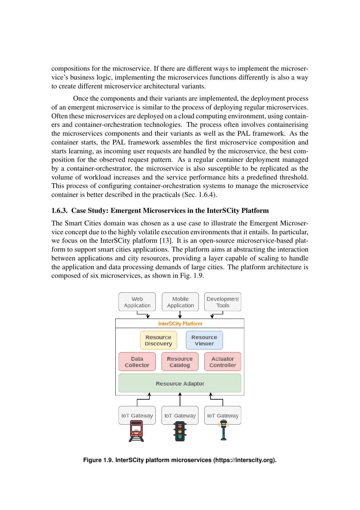compositions for the microservice. If there are different ways to implement the microservice's business logic, implementing the microservices functions differently is also a way to create different microservice architectural variants.

Once the components and their variants are implemented, the deployment process of an emergent microservice is similar to the process of deploying regular microservices. Often these microservices are deployed on a cloud computing environment, using containers and container-orchestration technologies. The process often involves containerising the microservices components and their variants as well as the PAL framework. As the container starts, the PAL framework assembles the first microservice composition and starts learning, as incoming user requests are handled by the microservice, the best composition for the observed request pattern. As a regular container deployment managed by a container-orchestrator, the microservice is also susceptible to be replicated as the volume of workload increases and the service performance hits a predefined threshold. This process of configuring container-orchestration systems to manage the microservice container is better described in the practicals (Sec. 1.6.4).

#### 1.6.3. Case Study: Emergent Microservices in the InterSCity Platform

The Smart Cities domain was chosen as a use case to illustrate the Emergent Microservice concept due to the highly volatile execution environments that it entails. In particular, we focus on the InterSCity platform [13]. It is an open-source microservice-based platform to support smart cities applications. The platform aims at abstracting the interaction between applications and city resources, providing a layer capable of scaling to handle the application and data processing demands of large cities. The platform architecture is composed of six microservices, as shown in Fig. 1.9.



**Figure 1.9. InterSCity platform microservices (https://interscity.org).**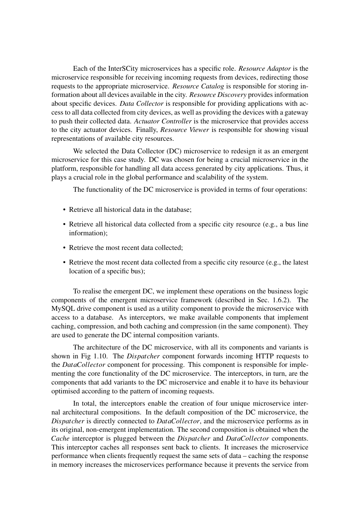Each of the InterSCity microservices has a specific role. *Resource Adaptor* is the microservice responsible for receiving incoming requests from devices, redirecting those requests to the appropriate microservice. *Resource Catalog* is responsible for storing information about all devices available in the city. *Resource Discovery* provides information about specific devices. *Data Collector* is responsible for providing applications with access to all data collected from city devices, as well as providing the devices with a gateway to push their collected data. *Actuator Controller* is the microservice that provides access to the city actuator devices. Finally, *Resource Viewer* is responsible for showing visual representations of available city resources.

We selected the Data Collector (DC) microservice to redesign it as an emergent microservice for this case study. DC was chosen for being a crucial microservice in the platform, responsible for handling all data access generated by city applications. Thus, it plays a crucial role in the global performance and scalability of the system.

The functionality of the DC microservice is provided in terms of four operations:

- Retrieve all historical data in the database:
- Retrieve all historical data collected from a specific city resource (e.g., a bus line information);
- Retrieve the most recent data collected;
- Retrieve the most recent data collected from a specific city resource (e.g., the latest location of a specific bus);

To realise the emergent DC, we implement these operations on the business logic components of the emergent microservice framework (described in Sec. 1.6.2). The MySQL drive component is used as a utility component to provide the microservice with access to a database. As interceptors, we make available components that implement caching, compression, and both caching and compression (in the same component). They are used to generate the DC internal composition variants.

The architecture of the DC microservice, with all its components and variants is shown in Fig 1.10. The *Dispatcher* component forwards incoming HTTP requests to the *DataCollector* component for processing. This component is responsible for implementing the core functionality of the DC microservice. The interceptors, in turn, are the components that add variants to the DC microservice and enable it to have its behaviour optimised according to the pattern of incoming requests.

In total, the interceptors enable the creation of four unique microservice internal architectural compositions. In the default composition of the DC microservice, the *Dispatcher* is directly connected to *DataCollector*, and the microservice performs as in its original, non-emergent implementation. The second composition is obtained when the *Cache* interceptor is plugged between the *Dispatcher* and *DataCollector* components. This interceptor caches all responses sent back to clients. It increases the microservice performance when clients frequently request the same sets of data – caching the response in memory increases the microservices performance because it prevents the service from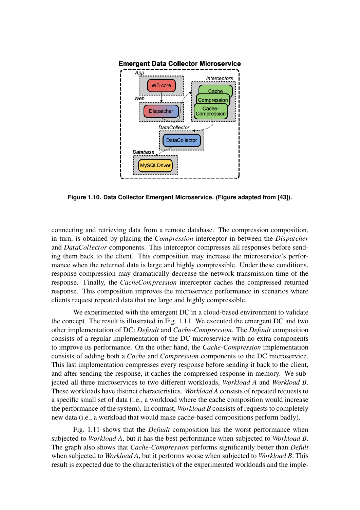

**Figure 1.10. Data Collector Emergent Microservice. (Figure adapted from [43]).**

connecting and retrieving data from a remote database. The compression composition, in turn, is obtained by placing the *Compression* interceptor in between the *Dispatcher* and *DataCollector* components. This interceptor compresses all responses before sending them back to the client. This composition may increase the microservice's performance when the returned data is large and highly compressible. Under these conditions, response compression may dramatically decrease the network transmission time of the response. Finally, the *CacheCompression* interceptor caches the compressed returned response. This composition improves the microservice performance in scenarios where clients request repeated data that are large and highly compressible.

We experimented with the emergent DC in a cloud-based environment to validate the concept. The result is illustrated in Fig. 1.11. We executed the emergent DC and two other implementation of DC: *Default* and *Cache-Compression*. The *Default* composition consists of a regular implementation of the DC microservice with no extra components to improve its performance. On the other hand, the *Cache-Compression* implementation consists of adding both a *Cache* and *Compression* components to the DC microservice. This last implementation compresses every response before sending it back to the client, and after sending the response, it caches the compressed response in memory. We subjected all three microservices to two different workloads, *Workload A* and *Workload B*. These workloads have distinct characteristics. *Workload A* consists of repeated requests to a specific small set of data (i.e., a workload where the cache composition would increase the performance of the system). In contrast, *Workload B* consists of requests to completely new data (i.e., a workload that would make cache-based compositions perform badly).

Fig. 1.11 shows that the *Default* composition has the worst performance when subjected to *Workload A*, but it has the best performance when subjected to *Workload B*. The graph also shows that *Cache-Compression* performs significantly better than *Defult* when subjected to *Workload A*, but it performs worse when subjected to *Workload B*. This result is expected due to the characteristics of the experimented workloads and the imple-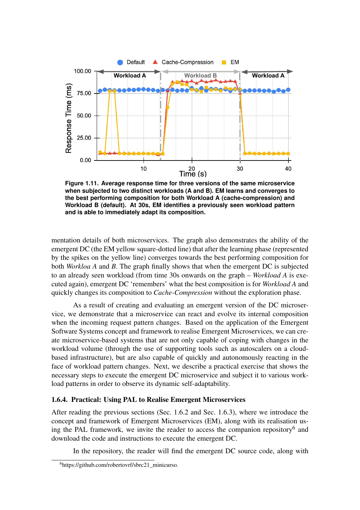

**Figure 1.11. Average response time for three versions of the same microservice when subjected to two distinct workloads (A and B). EM learns and converges to the best performing composition for both Workload A (cache-compression) and Workload B (default). At 30s, EM identifies a previously seen workload pattern and is able to immediately adapt its composition.**

mentation details of both microservices. The graph also demonstrates the ability of the emergent DC (the EM yellow square-dotted line) that after the learning phase (represented by the spikes on the yellow line) converges towards the best performing composition for both *Workloa A* and *B*. The graph finally shows that when the emergent DC is subjected to an already seen workload (from time 30s onwards on the graph – *Workload A* is executed again), emergent DC 'remembers' what the best composition is for *Workload A* and quickly changes its composition to *Cache-Compression* without the exploration phase.

As a result of creating and evaluating an emergent version of the DC microservice, we demonstrate that a microservice can react and evolve its internal composition when the incoming request pattern changes. Based on the application of the Emergent Software Systems concept and framework to realise Emergent Microservices, we can create microservice-based systems that are not only capable of coping with changes in the workload volume (through the use of supporting tools such as autoscalers on a cloudbased infrastructure), but are also capable of quickly and autonomously reacting in the face of workload pattern changes. Next, we describe a practical exercise that shows the necessary steps to execute the emergent DC microservice and subject it to various workload patterns in order to observe its dynamic self-adaptability.

# 1.6.4. Practical: Using PAL to Realise Emergent Microservices

After reading the previous sections (Sec. 1.6.2 and Sec. 1.6.3), where we introduce the concept and framework of Emergent Microservices (EM), along with its realisation using the PAL framework, we invite the reader to access the companion repository<sup>6</sup> and download the code and instructions to execute the emergent DC.

In the repository, the reader will find the emergent DC source code, along with

<sup>&</sup>lt;sup>6</sup>https://github.com/robertovrf/sbrc21\_minicurso.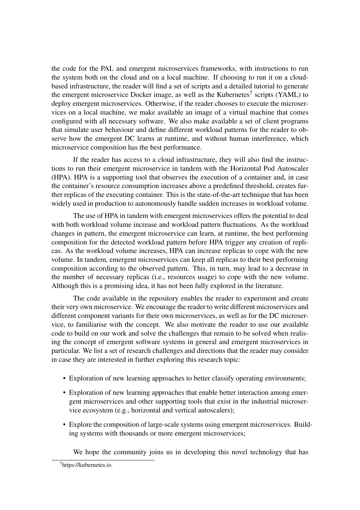the code for the PAL and emergent microservices frameworks, with instructions to run the system both on the cloud and on a local machine. If choosing to run it on a cloudbased infrastructure, the reader will find a set of scripts and a detailed tutorial to generate the emergent microservice Docker image, as well as the Kubernetes<sup>7</sup> scripts (YAML) to deploy emergent microservices. Otherwise, if the reader chooses to execute the microservices on a local machine, we make available an image of a virtual machine that comes configured with all necessary software. We also make available a set of client programs that simulate user behaviour and define different workload patterns for the reader to observe how the emergent DC learns at runtime, and without human interference, which microservice composition has the best performance.

If the reader has access to a cloud infrastructure, they will also find the instructions to run their emergent microservice in tandem with the Horizontal Pod Autoscaler (HPA). HPA is a supporting tool that observes the execution of a container and, in case the container's resource consumption increases above a predefined threshold, creates further replicas of the executing container. This is the state-of-the-art technique that has been widely used in production to autonomously handle sudden increases in workload volume.

The use of HPA in tandem with emergent microservices offers the potential to deal with both workload volume increase and workload pattern fluctuations. As the workload changes in pattern, the emergent microservice can learn, at runtime, the best performing composition for the detected workload pattern before HPA trigger any creation of replicas. As the workload volume increases, HPA can increase replicas to cope with the new volume. In tandem, emergent microservices can keep all replicas to their best performing composition according to the observed pattern. This, in turn, may lead to a decrease in the number of necessary replicas (i.e., resources usage) to cope with the new volume. Although this is a promising idea, it has not been fully explored in the literature.

The code available in the repository enables the reader to experiment and create their very own microservice. We encourage the reader to write different microservices and different component variants for their own microservices, as well as for the DC microservice, to familiarise with the concept. We also motivate the reader to use our available code to build on our work and solve the challenges that remain to be solved when realising the concept of emergent software systems in general and emergent microservices in particular. We list a set of research challenges and directions that the reader may consider in case they are interested in further exploring this research topic:

- Exploration of new learning approaches to better classify operating environments;
- Exploration of new learning approaches that enable better interaction among emergent microservices and other supporting tools that exist in the industrial microservice ecosystem (e.g., horizontal and vertical autoscalers);
- Explore the composition of large-scale systems using emergent microservices. Building systems with thousands or more emergent microservices;

We hope the community joins us in developing this novel technology that has

<sup>7</sup>https://kubernetes.io.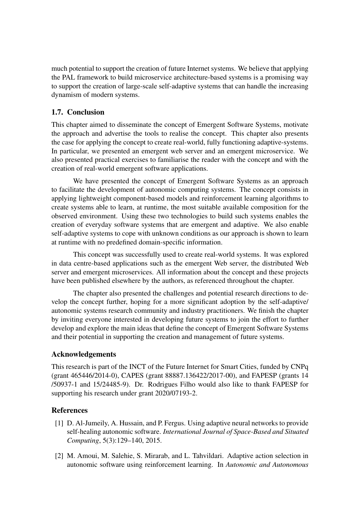much potential to support the creation of future Internet systems. We believe that applying the PAL framework to build microservice architecture-based systems is a promising way to support the creation of large-scale self-adaptive systems that can handle the increasing dynamism of modern systems.

# 1.7. Conclusion

This chapter aimed to disseminate the concept of Emergent Software Systems, motivate the approach and advertise the tools to realise the concept. This chapter also presents the case for applying the concept to create real-world, fully functioning adaptive-systems. In particular, we presented an emergent web server and an emergent microservice. We also presented practical exercises to familiarise the reader with the concept and with the creation of real-world emergent software applications.

We have presented the concept of Emergent Software Systems as an approach to facilitate the development of autonomic computing systems. The concept consists in applying lightweight component-based models and reinforcement learning algorithms to create systems able to learn, at runtime, the most suitable available composition for the observed environment. Using these two technologies to build such systems enables the creation of everyday software systems that are emergent and adaptive. We also enable self-adaptive systems to cope with unknown conditions as our approach is shown to learn at runtime with no predefined domain-specific information.

This concept was successfully used to create real-world systems. It was explored in data centre-based applications such as the emergent Web server, the distributed Web server and emergent microservices. All information about the concept and these projects have been published elsewhere by the authors, as referenced throughout the chapter.

The chapter also presented the challenges and potential research directions to develop the concept further, hoping for a more significant adoption by the self-adaptive/ autonomic systems research community and industry practitioners. We finish the chapter by inviting everyone interested in developing future systems to join the effort to further develop and explore the main ideas that define the concept of Emergent Software Systems and their potential in supporting the creation and management of future systems.

# Acknowledgements

This research is part of the INCT of the Future Internet for Smart Cities, funded by CNPq (grant 465446/2014-0), CAPES (grant 88887.136422/2017-00), and FAPESP (grants 14 /50937-1 and 15/24485-9). Dr. Rodrigues Filho would also like to thank FAPESP for supporting his research under grant 2020/07193-2.

# **References**

- [1] D. Al-Jumeily, A. Hussain, and P. Fergus. Using adaptive neural networks to provide self-healing autonomic software. *International Journal of Space-Based and Situated Computing*, 5(3):129–140, 2015.
- [2] M. Amoui, M. Salehie, S. Mirarab, and L. Tahvildari. Adaptive action selection in autonomic software using reinforcement learning. In *Autonomic and Autonomous*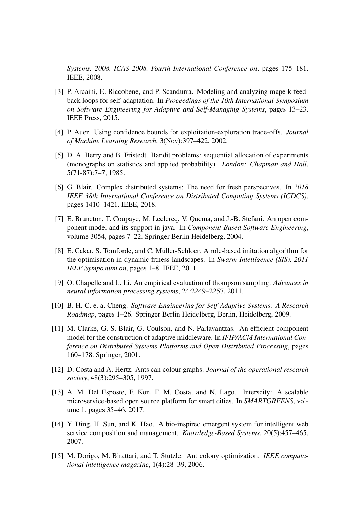*Systems, 2008. ICAS 2008. Fourth International Conference on*, pages 175–181. IEEE, 2008.

- [3] P. Arcaini, E. Riccobene, and P. Scandurra. Modeling and analyzing mape-k feedback loops for self-adaptation. In *Proceedings of the 10th International Symposium on Software Engineering for Adaptive and Self-Managing Systems*, pages 13–23. IEEE Press, 2015.
- [4] P. Auer. Using confidence bounds for exploitation-exploration trade-offs. *Journal of Machine Learning Research*, 3(Nov):397–422, 2002.
- [5] D. A. Berry and B. Fristedt. Bandit problems: sequential allocation of experiments (monographs on statistics and applied probability). *London: Chapman and Hall*, 5(71-87):7–7, 1985.
- [6] G. Blair. Complex distributed systems: The need for fresh perspectives. In *2018 IEEE 38th International Conference on Distributed Computing Systems (ICDCS)*, pages 1410–1421. IEEE, 2018.
- [7] E. Bruneton, T. Coupaye, M. Leclercq, V. Quema, and J.-B. Stefani. An open component model and its support in java. In *Component-Based Software Engineering*, volume 3054, pages 7–22. Springer Berlin Heidelberg, 2004.
- [8] E. Cakar, S. Tomforde, and C. Müller-Schloer. A role-based imitation algorithm for the optimisation in dynamic fitness landscapes. In *Swarm Intelligence (SIS), 2011 IEEE Symposium on*, pages 1–8. IEEE, 2011.
- [9] O. Chapelle and L. Li. An empirical evaluation of thompson sampling. *Advances in neural information processing systems*, 24:2249–2257, 2011.
- [10] B. H. C. e. a. Cheng. *Software Engineering for Self-Adaptive Systems: A Research Roadmap*, pages 1–26. Springer Berlin Heidelberg, Berlin, Heidelberg, 2009.
- [11] M. Clarke, G. S. Blair, G. Coulson, and N. Parlavantzas. An efficient component model for the construction of adaptive middleware. In *IFIP/ACM International Conference on Distributed Systems Platforms and Open Distributed Processing*, pages 160–178. Springer, 2001.
- [12] D. Costa and A. Hertz. Ants can colour graphs. *Journal of the operational research society*, 48(3):295–305, 1997.
- [13] A. M. Del Esposte, F. Kon, F. M. Costa, and N. Lago. Interscity: A scalable microservice-based open source platform for smart cities. In *SMARTGREENS*, volume 1, pages 35–46, 2017.
- [14] Y. Ding, H. Sun, and K. Hao. A bio-inspired emergent system for intelligent web service composition and management. *Knowledge-Based Systems*, 20(5):457–465, 2007.
- [15] M. Dorigo, M. Birattari, and T. Stutzle. Ant colony optimization. *IEEE computational intelligence magazine*, 1(4):28–39, 2006.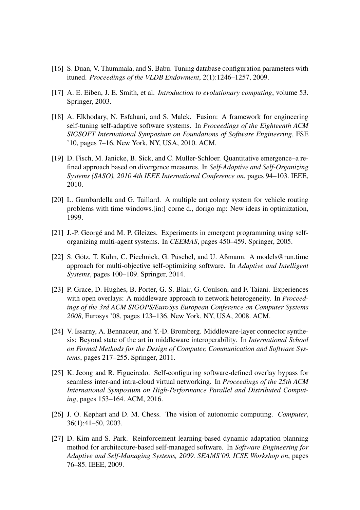- [16] S. Duan, V. Thummala, and S. Babu. Tuning database configuration parameters with ituned. *Proceedings of the VLDB Endowment*, 2(1):1246–1257, 2009.
- [17] A. E. Eiben, J. E. Smith, et al. *Introduction to evolutionary computing*, volume 53. Springer, 2003.
- [18] A. Elkhodary, N. Esfahani, and S. Malek. Fusion: A framework for engineering self-tuning self-adaptive software systems. In *Proceedings of the Eighteenth ACM SIGSOFT International Symposium on Foundations of Software Engineering*, FSE '10, pages 7–16, New York, NY, USA, 2010. ACM.
- [19] D. Fisch, M. Janicke, B. Sick, and C. Muller-Schloer. Quantitative emergence–a refined approach based on divergence measures. In *Self-Adaptive and Self-Organizing Systems (SASO), 2010 4th IEEE International Conference on*, pages 94–103. IEEE, 2010.
- [20] L. Gambardella and G. Taillard. A multiple ant colony system for vehicle routing problems with time windows.[in:] corne d., dorigo mp: New ideas in optimization, 1999.
- [21] J.-P. Georgé and M. P. Gleizes. Experiments in emergent programming using selforganizing multi-agent systems. In *CEEMAS*, pages 450–459. Springer, 2005.
- [22] S. Götz, T. Kühn, C. Piechnick, G. Püschel, and U. Aßmann. A models@run.time approach for multi-objective self-optimizing software. In *Adaptive and Intelligent Systems*, pages 100–109. Springer, 2014.
- [23] P. Grace, D. Hughes, B. Porter, G. S. Blair, G. Coulson, and F. Taiani. Experiences with open overlays: A middleware approach to network heterogeneity. In *Proceedings of the 3rd ACM SIGOPS/EuroSys European Conference on Computer Systems 2008*, Eurosys '08, pages 123–136, New York, NY, USA, 2008. ACM.
- [24] V. Issarny, A. Bennaceur, and Y.-D. Bromberg. Middleware-layer connector synthesis: Beyond state of the art in middleware interoperability. In *International School on Formal Methods for the Design of Computer, Communication and Software Systems*, pages 217–255. Springer, 2011.
- [25] K. Jeong and R. Figueiredo. Self-configuring software-defined overlay bypass for seamless inter-and intra-cloud virtual networking. In *Proceedings of the 25th ACM International Symposium on High-Performance Parallel and Distributed Computing*, pages 153–164. ACM, 2016.
- [26] J. O. Kephart and D. M. Chess. The vision of autonomic computing. *Computer*, 36(1):41–50, 2003.
- [27] D. Kim and S. Park. Reinforcement learning-based dynamic adaptation planning method for architecture-based self-managed software. In *Software Engineering for Adaptive and Self-Managing Systems, 2009. SEAMS'09. ICSE Workshop on*, pages 76–85. IEEE, 2009.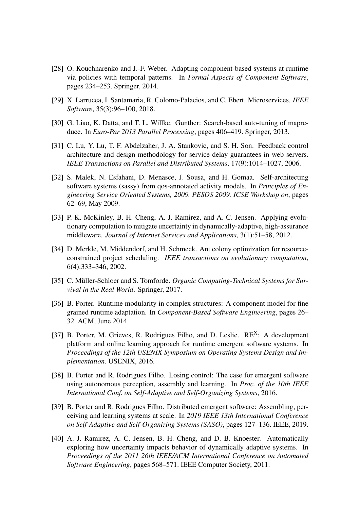- [28] O. Kouchnarenko and J.-F. Weber. Adapting component-based systems at runtime via policies with temporal patterns. In *Formal Aspects of Component Software*, pages 234–253. Springer, 2014.
- [29] X. Larrucea, I. Santamaria, R. Colomo-Palacios, and C. Ebert. Microservices. *IEEE Software*, 35(3):96–100, 2018.
- [30] G. Liao, K. Datta, and T. L. Willke. Gunther: Search-based auto-tuning of mapreduce. In *Euro-Par 2013 Parallel Processing*, pages 406–419. Springer, 2013.
- [31] C. Lu, Y. Lu, T. F. Abdelzaher, J. A. Stankovic, and S. H. Son. Feedback control architecture and design methodology for service delay guarantees in web servers. *IEEE Transactions on Parallel and Distributed Systems*, 17(9):1014–1027, 2006.
- [32] S. Malek, N. Esfahani, D. Menasce, J. Sousa, and H. Gomaa. Self-architecting software systems (sassy) from qos-annotated activity models. In *Principles of Engineering Service Oriented Systems, 2009. PESOS 2009. ICSE Workshop on*, pages 62–69, May 2009.
- [33] P. K. McKinley, B. H. Cheng, A. J. Ramirez, and A. C. Jensen. Applying evolutionary computation to mitigate uncertainty in dynamically-adaptive, high-assurance middleware. *Journal of Internet Services and Applications*, 3(1):51–58, 2012.
- [34] D. Merkle, M. Middendorf, and H. Schmeck. Ant colony optimization for resourceconstrained project scheduling. *IEEE transactions on evolutionary computation*, 6(4):333–346, 2002.
- [35] C. Müller-Schloer and S. Tomforde. *Organic Computing-Technical Systems for Survival in the Real World*. Springer, 2017.
- [36] B. Porter. Runtime modularity in complex structures: A component model for fine grained runtime adaptation. In *Component-Based Software Engineering*, pages 26– 32. ACM, June 2014.
- [37] B. Porter, M. Grieves, R. Rodrigues Filho, and D. Leslie.  $RE<sup>X</sup>$ : A development platform and online learning approach for runtime emergent software systems. In *Proceedings of the 12th USENIX Symposium on Operating Systems Design and Implementation*. USENIX, 2016.
- [38] B. Porter and R. Rodrigues Filho. Losing control: The case for emergent software using autonomous perception, assembly and learning. In *Proc. of the 10th IEEE International Conf. on Self-Adaptive and Self-Organizing Systems*, 2016.
- [39] B. Porter and R. Rodrigues Filho. Distributed emergent software: Assembling, perceiving and learning systems at scale. In *2019 IEEE 13th International Conference on Self-Adaptive and Self-Organizing Systems (SASO)*, pages 127–136. IEEE, 2019.
- [40] A. J. Ramirez, A. C. Jensen, B. H. Cheng, and D. B. Knoester. Automatically exploring how uncertainty impacts behavior of dynamically adaptive systems. In *Proceedings of the 2011 26th IEEE/ACM International Conference on Automated Software Engineering*, pages 568–571. IEEE Computer Society, 2011.